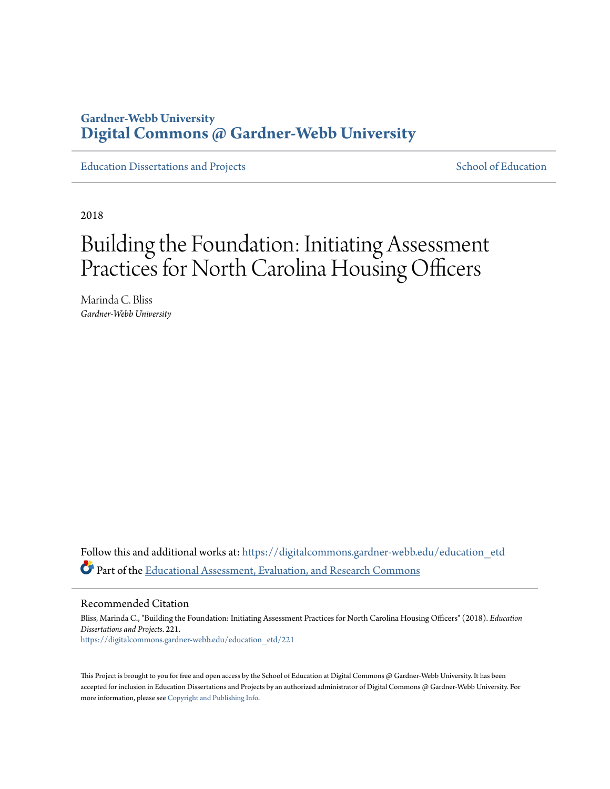# **Gardner-Webb University [Digital Commons @ Gardner-Webb University](https://digitalcommons.gardner-webb.edu?utm_source=digitalcommons.gardner-webb.edu%2Feducation_etd%2F221&utm_medium=PDF&utm_campaign=PDFCoverPages)**

[Education Dissertations and Projects](https://digitalcommons.gardner-webb.edu/education_etd?utm_source=digitalcommons.gardner-webb.edu%2Feducation_etd%2F221&utm_medium=PDF&utm_campaign=PDFCoverPages) [School of Education](https://digitalcommons.gardner-webb.edu/education?utm_source=digitalcommons.gardner-webb.edu%2Feducation_etd%2F221&utm_medium=PDF&utm_campaign=PDFCoverPages)

2018

# Building the Foundation: Initiating Assessment Practices for North Carolina Housing Officers

Marinda C. Bliss *Gardner-Webb University*

Follow this and additional works at: [https://digitalcommons.gardner-webb.edu/education\\_etd](https://digitalcommons.gardner-webb.edu/education_etd?utm_source=digitalcommons.gardner-webb.edu%2Feducation_etd%2F221&utm_medium=PDF&utm_campaign=PDFCoverPages) Part of the [Educational Assessment, Evaluation, and Research Commons](http://network.bepress.com/hgg/discipline/796?utm_source=digitalcommons.gardner-webb.edu%2Feducation_etd%2F221&utm_medium=PDF&utm_campaign=PDFCoverPages)

Recommended Citation

Bliss, Marinda C., "Building the Foundation: Initiating Assessment Practices for North Carolina Housing Officers" (2018). *Education Dissertations and Projects*. 221. [https://digitalcommons.gardner-webb.edu/education\\_etd/221](https://digitalcommons.gardner-webb.edu/education_etd/221?utm_source=digitalcommons.gardner-webb.edu%2Feducation_etd%2F221&utm_medium=PDF&utm_campaign=PDFCoverPages)

This Project is brought to you for free and open access by the School of Education at Digital Commons @ Gardner-Webb University. It has been accepted for inclusion in Education Dissertations and Projects by an authorized administrator of Digital Commons @ Gardner-Webb University. For more information, please see [Copyright and Publishing Info](https://digitalcommons.gardner-webb.edu/copyright_publishing.html).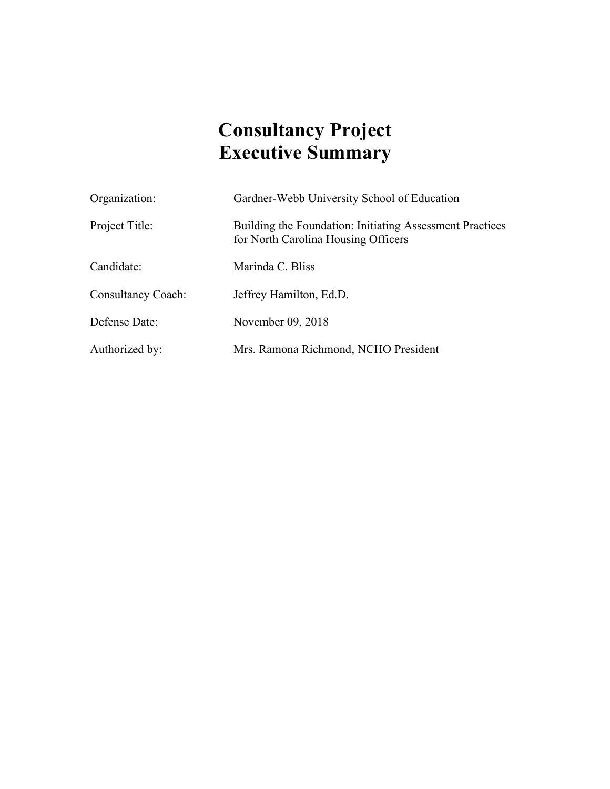# **Consultancy Project Executive Summary**

| Organization:             | Gardner-Webb University School of Education                                                     |
|---------------------------|-------------------------------------------------------------------------------------------------|
| Project Title:            | Building the Foundation: Initiating Assessment Practices<br>for North Carolina Housing Officers |
| Candidate:                | Marinda C. Bliss                                                                                |
| <b>Consultancy Coach:</b> | Jeffrey Hamilton, Ed.D.                                                                         |
| Defense Date:             | November 09, 2018                                                                               |
| Authorized by:            | Mrs. Ramona Richmond, NCHO President                                                            |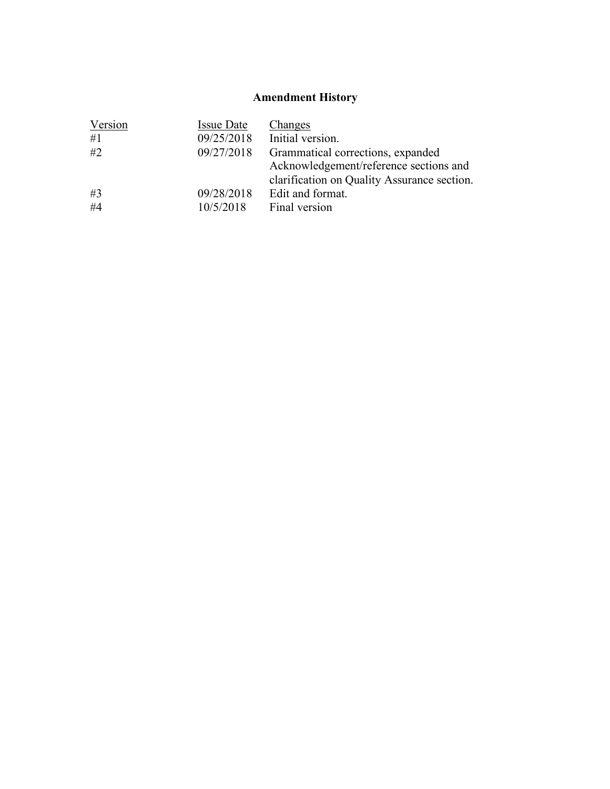# **Amendment History**

| Version | <b>Issue Date</b> | <b>Changes</b>                              |
|---------|-------------------|---------------------------------------------|
| #1      | 09/25/2018        | Initial version.                            |
| #2      | 09/27/2018        | Grammatical corrections, expanded           |
|         |                   | Acknowledgement/reference sections and      |
|         |                   | clarification on Quality Assurance section. |
| #3      | 09/28/2018        | Edit and format.                            |
| #4      | 10/5/2018         | Final version                               |
|         |                   |                                             |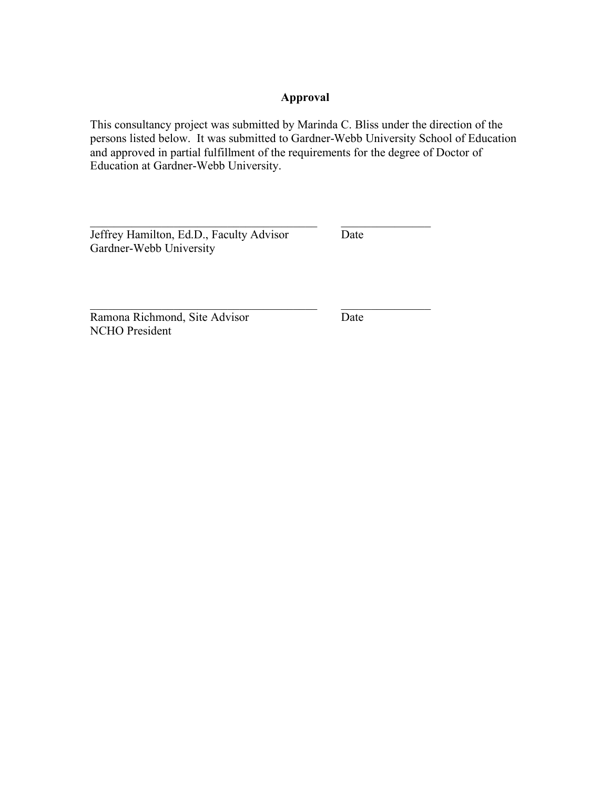# **Approval**

This consultancy project was submitted by Marinda C. Bliss under the direction of the persons listed below. It was submitted to Gardner-Webb University School of Education and approved in partial fulfillment of the requirements for the degree of Doctor of Education at Gardner-Webb University.

 $\mathcal{L}_\text{max}$  , and the contract of the contract of the contract of the contract of the contract of the contract of

 $\mathcal{L}_\text{max}$  and the contract of the contract of the contract of the contract of the contract of the contract of

Jeffrey Hamilton, Ed.D., Faculty Advisor Date Gardner-Webb University

Ramona Richmond, Site Advisor Date NCHO President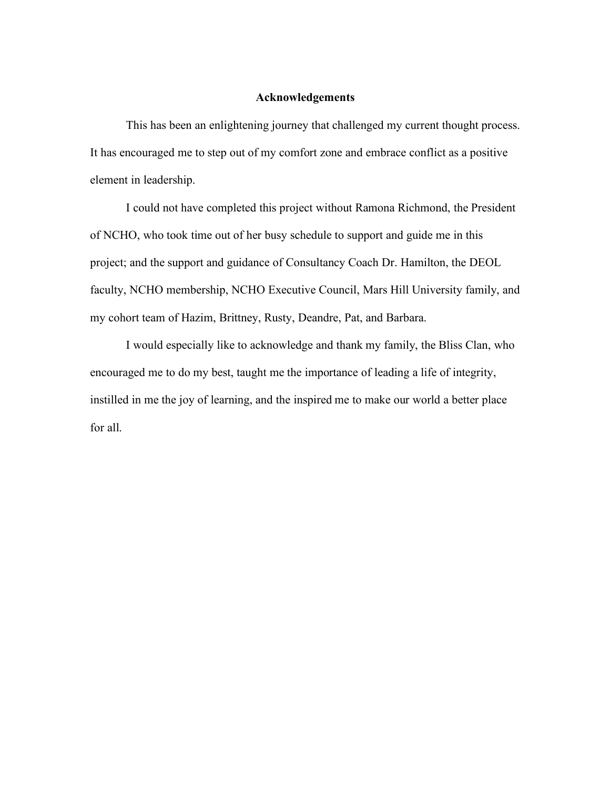#### **Acknowledgements**

This has been an enlightening journey that challenged my current thought process. It has encouraged me to step out of my comfort zone and embrace conflict as a positive element in leadership.

I could not have completed this project without Ramona Richmond, the President of NCHO, who took time out of her busy schedule to support and guide me in this project; and the support and guidance of Consultancy Coach Dr. Hamilton, the DEOL faculty, NCHO membership, NCHO Executive Council, Mars Hill University family, and my cohort team of Hazim, Brittney, Rusty, Deandre, Pat, and Barbara.

I would especially like to acknowledge and thank my family, the Bliss Clan, who encouraged me to do my best, taught me the importance of leading a life of integrity, instilled in me the joy of learning, and the inspired me to make our world a better place for all.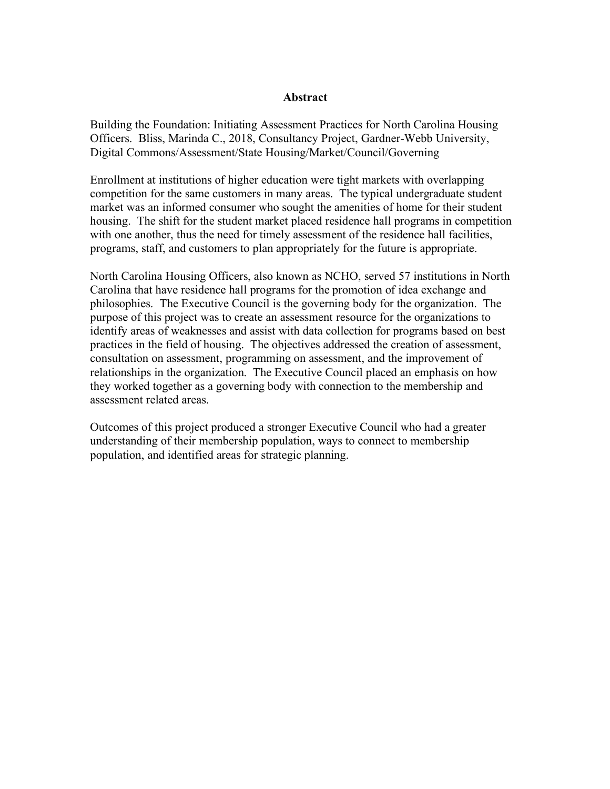#### **Abstract**

Building the Foundation: Initiating Assessment Practices for North Carolina Housing Officers. Bliss, Marinda C., 2018, Consultancy Project, Gardner-Webb University, Digital Commons/Assessment/State Housing/Market/Council/Governing

Enrollment at institutions of higher education were tight markets with overlapping competition for the same customers in many areas. The typical undergraduate student market was an informed consumer who sought the amenities of home for their student housing. The shift for the student market placed residence hall programs in competition with one another, thus the need for timely assessment of the residence hall facilities, programs, staff, and customers to plan appropriately for the future is appropriate.

North Carolina Housing Officers, also known as NCHO, served 57 institutions in North Carolina that have residence hall programs for the promotion of idea exchange and philosophies. The Executive Council is the governing body for the organization. The purpose of this project was to create an assessment resource for the organizations to identify areas of weaknesses and assist with data collection for programs based on best practices in the field of housing. The objectives addressed the creation of assessment, consultation on assessment, programming on assessment, and the improvement of relationships in the organization. The Executive Council placed an emphasis on how they worked together as a governing body with connection to the membership and assessment related areas.

Outcomes of this project produced a stronger Executive Council who had a greater understanding of their membership population, ways to connect to membership population, and identified areas for strategic planning.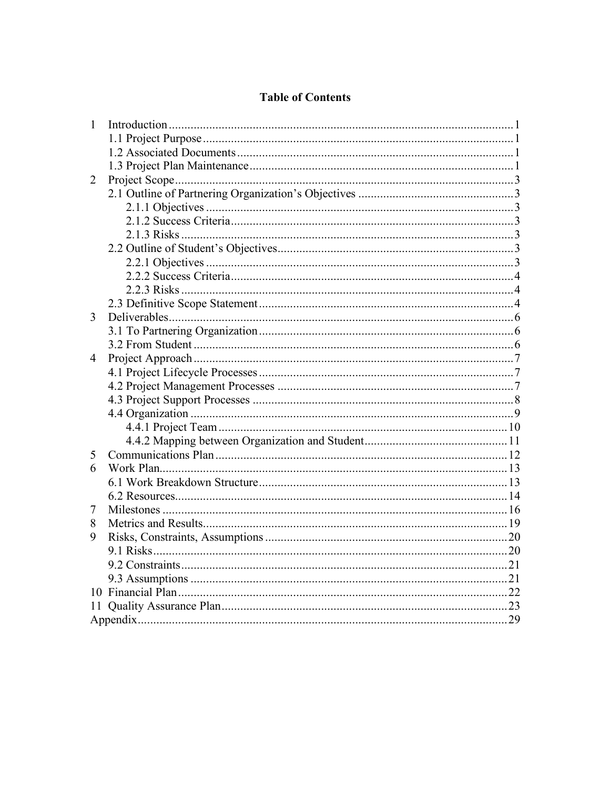# **Table of Contents**

| $\mathbf{1}$ |  |
|--------------|--|
|              |  |
|              |  |
|              |  |
| 2            |  |
|              |  |
|              |  |
|              |  |
|              |  |
|              |  |
|              |  |
|              |  |
|              |  |
|              |  |
| 3            |  |
|              |  |
|              |  |
| 4            |  |
|              |  |
|              |  |
|              |  |
|              |  |
|              |  |
|              |  |
| 5            |  |
| 6            |  |
|              |  |
|              |  |
| 7            |  |
| 8            |  |
| 9            |  |
|              |  |
|              |  |
|              |  |
|              |  |
| 11           |  |
|              |  |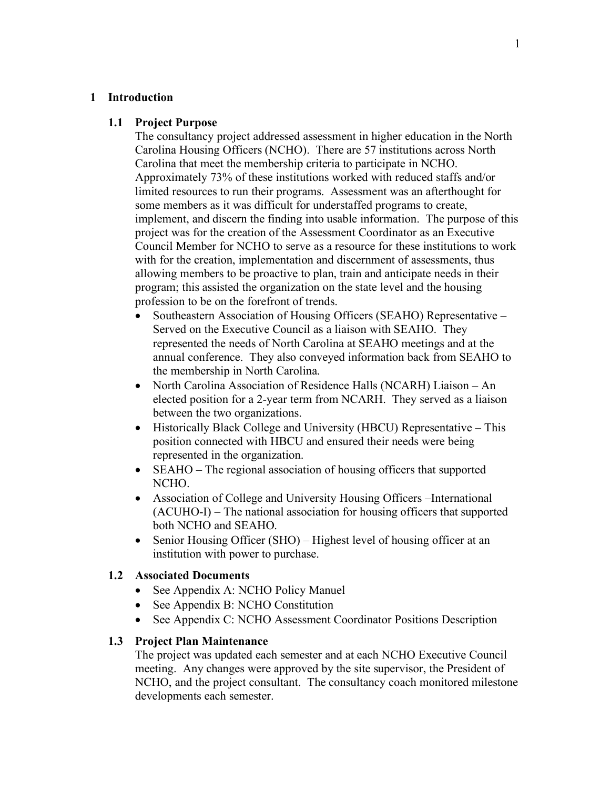#### **1 Introduction**

#### **1.1 Project Purpose**

The consultancy project addressed assessment in higher education in the North Carolina Housing Officers (NCHO). There are 57 institutions across North Carolina that meet the membership criteria to participate in NCHO. Approximately 73% of these institutions worked with reduced staffs and/or limited resources to run their programs. Assessment was an afterthought for some members as it was difficult for understaffed programs to create, implement, and discern the finding into usable information. The purpose of this project was for the creation of the Assessment Coordinator as an Executive Council Member for NCHO to serve as a resource for these institutions to work with for the creation, implementation and discernment of assessments, thus allowing members to be proactive to plan, train and anticipate needs in their program; this assisted the organization on the state level and the housing profession to be on the forefront of trends.

- Southeastern Association of Housing Officers (SEAHO) Representative Served on the Executive Council as a liaison with SEAHO. They represented the needs of North Carolina at SEAHO meetings and at the annual conference. They also conveyed information back from SEAHO to the membership in North Carolina.
- North Carolina Association of Residence Halls (NCARH) Liaison An elected position for a 2-year term from NCARH. They served as a liaison between the two organizations.
- Historically Black College and University (HBCU) Representative This position connected with HBCU and ensured their needs were being represented in the organization.
- SEAHO The regional association of housing officers that supported NCHO.
- Association of College and University Housing Officers –International (ACUHO-I) – The national association for housing officers that supported both NCHO and SEAHO.
- Senior Housing Officer (SHO) Highest level of housing officer at an institution with power to purchase.

#### **1.2 Associated Documents**

- See Appendix A: NCHO Policy Manuel
- See Appendix B: NCHO Constitution
- See Appendix C: NCHO Assessment Coordinator Positions Description

#### **1.3 Project Plan Maintenance**

The project was updated each semester and at each NCHO Executive Council meeting. Any changes were approved by the site supervisor, the President of NCHO, and the project consultant. The consultancy coach monitored milestone developments each semester.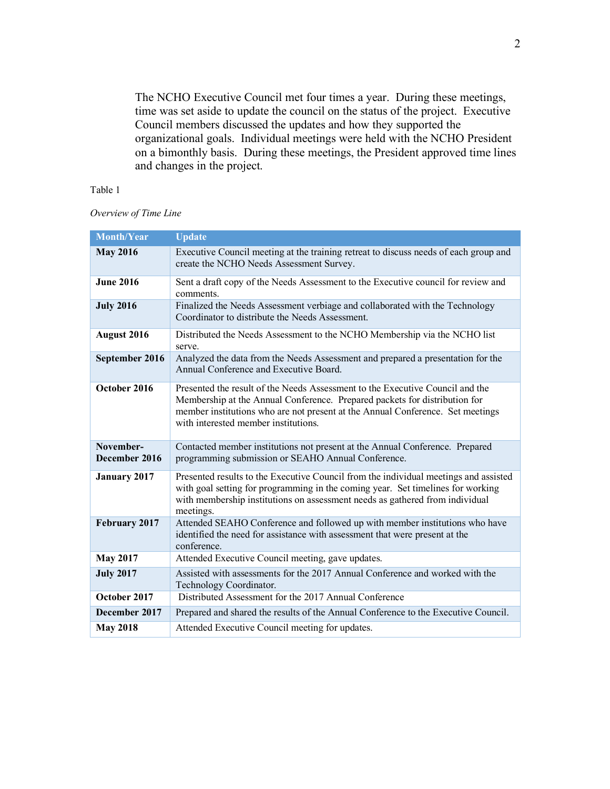The NCHO Executive Council met four times a year. During these meetings, time was set aside to update the council on the status of the project. Executive Council members discussed the updates and how they supported the organizational goals. Individual meetings were held with the NCHO President on a bimonthly basis. During these meetings, the President approved time lines and changes in the project.

#### Table 1

#### *Overview of Time Line*

| Month/Year                 | <b>Update</b>                                                                                                                                                                                                                                                                         |
|----------------------------|---------------------------------------------------------------------------------------------------------------------------------------------------------------------------------------------------------------------------------------------------------------------------------------|
| <b>May 2016</b>            | Executive Council meeting at the training retreat to discuss needs of each group and<br>create the NCHO Needs Assessment Survey.                                                                                                                                                      |
| <b>June 2016</b>           | Sent a draft copy of the Needs Assessment to the Executive council for review and<br>comments.                                                                                                                                                                                        |
| <b>July 2016</b>           | Finalized the Needs Assessment verbiage and collaborated with the Technology<br>Coordinator to distribute the Needs Assessment.                                                                                                                                                       |
| August 2016                | Distributed the Needs Assessment to the NCHO Membership via the NCHO list<br>serve.                                                                                                                                                                                                   |
| September 2016             | Analyzed the data from the Needs Assessment and prepared a presentation for the<br>Annual Conference and Executive Board.                                                                                                                                                             |
| October 2016               | Presented the result of the Needs Assessment to the Executive Council and the<br>Membership at the Annual Conference. Prepared packets for distribution for<br>member institutions who are not present at the Annual Conference. Set meetings<br>with interested member institutions. |
| November-<br>December 2016 | Contacted member institutions not present at the Annual Conference. Prepared<br>programming submission or SEAHO Annual Conference.                                                                                                                                                    |
| <b>January 2017</b>        | Presented results to the Executive Council from the individual meetings and assisted<br>with goal setting for programming in the coming year. Set timelines for working<br>with membership institutions on assessment needs as gathered from individual<br>meetings.                  |
| February 2017              | Attended SEAHO Conference and followed up with member institutions who have<br>identified the need for assistance with assessment that were present at the<br>conference.                                                                                                             |
| <b>May 2017</b>            | Attended Executive Council meeting, gave updates.                                                                                                                                                                                                                                     |
| <b>July 2017</b>           | Assisted with assessments for the 2017 Annual Conference and worked with the<br>Technology Coordinator.                                                                                                                                                                               |
| October 2017               | Distributed Assessment for the 2017 Annual Conference                                                                                                                                                                                                                                 |
| December 2017              | Prepared and shared the results of the Annual Conference to the Executive Council.                                                                                                                                                                                                    |
| <b>May 2018</b>            | Attended Executive Council meeting for updates.                                                                                                                                                                                                                                       |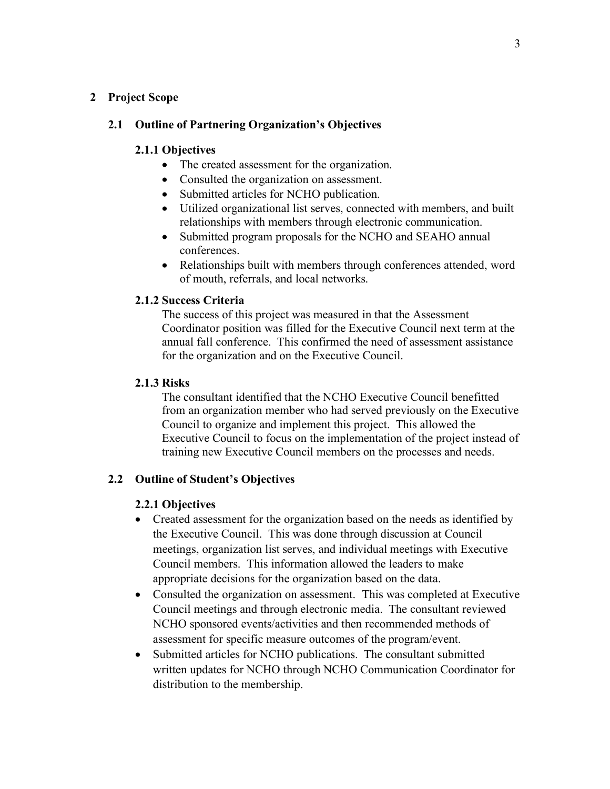# **2 Project Scope**

# **2.1 Outline of Partnering Organization's Objectives**

## **2.1.1 Objectives**

- The created assessment for the organization.
- Consulted the organization on assessment.
- Submitted articles for NCHO publication.
- Utilized organizational list serves, connected with members, and built relationships with members through electronic communication.
- Submitted program proposals for the NCHO and SEAHO annual conferences.
- Relationships built with members through conferences attended, word of mouth, referrals, and local networks.

# **2.1.2 Success Criteria**

The success of this project was measured in that the Assessment Coordinator position was filled for the Executive Council next term at the annual fall conference. This confirmed the need of assessment assistance for the organization and on the Executive Council.

# **2.1.3 Risks**

The consultant identified that the NCHO Executive Council benefitted from an organization member who had served previously on the Executive Council to organize and implement this project. This allowed the Executive Council to focus on the implementation of the project instead of training new Executive Council members on the processes and needs.

# **2.2 Outline of Student's Objectives**

# **2.2.1 Objectives**

- Created assessment for the organization based on the needs as identified by the Executive Council. This was done through discussion at Council meetings, organization list serves, and individual meetings with Executive Council members. This information allowed the leaders to make appropriate decisions for the organization based on the data.
- Consulted the organization on assessment. This was completed at Executive Council meetings and through electronic media. The consultant reviewed NCHO sponsored events/activities and then recommended methods of assessment for specific measure outcomes of the program/event.
- Submitted articles for NCHO publications. The consultant submitted written updates for NCHO through NCHO Communication Coordinator for distribution to the membership.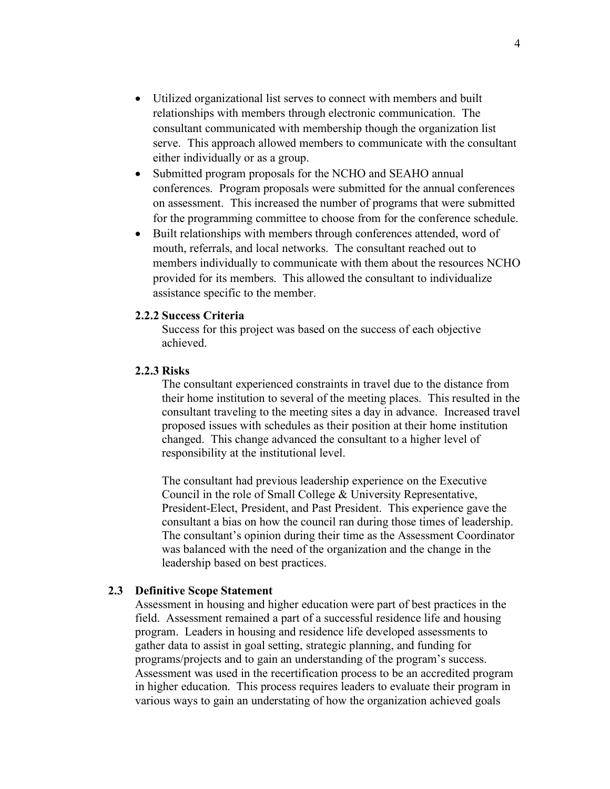- Utilized organizational list serves to connect with members and built relationships with members through electronic communication. The consultant communicated with membership though the organization list serve. This approach allowed members to communicate with the consultant either individually or as a group.
- Submitted program proposals for the NCHO and SEAHO annual conferences. Program proposals were submitted for the annual conferences on assessment. This increased the number of programs that were submitted for the programming committee to choose from for the conference schedule.
- Built relationships with members through conferences attended, word of mouth, referrals, and local networks. The consultant reached out to members individually to communicate with them about the resources NCHO provided for its members. This allowed the consultant to individualize assistance specific to the member.

#### **2.2.2 Success Criteria**

Success for this project was based on the success of each objective achieved.

#### **2.2.3 Risks**

The consultant experienced constraints in travel due to the distance from their home institution to several of the meeting places. This resulted in the consultant traveling to the meeting sites a day in advance. Increased travel proposed issues with schedules as their position at their home institution changed. This change advanced the consultant to a higher level of responsibility at the institutional level.

The consultant had previous leadership experience on the Executive Council in the role of Small College & University Representative, President-Elect, President, and Past President. This experience gave the consultant a bias on how the council ran during those times of leadership. The consultant's opinion during their time as the Assessment Coordinator was balanced with the need of the organization and the change in the leadership based on best practices.

#### **2.3 Definitive Scope Statement**

Assessment in housing and higher education were part of best practices in the field. Assessment remained a part of a successful residence life and housing program. Leaders in housing and residence life developed assessments to gather data to assist in goal setting, strategic planning, and funding for programs/projects and to gain an understanding of the program's success. Assessment was used in the recertification process to be an accredited program in higher education. This process requires leaders to evaluate their program in various ways to gain an understating of how the organization achieved goals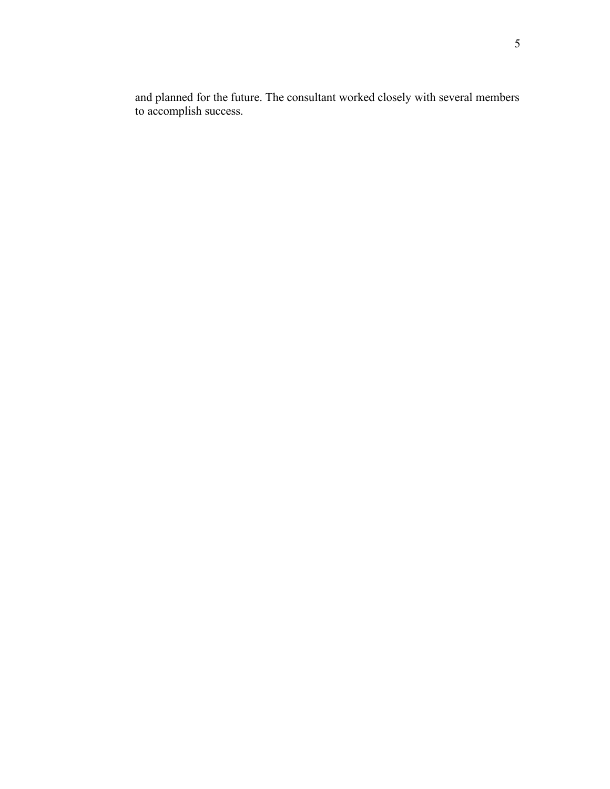and planned for the future. The consultant worked closely with several members to accomplish success.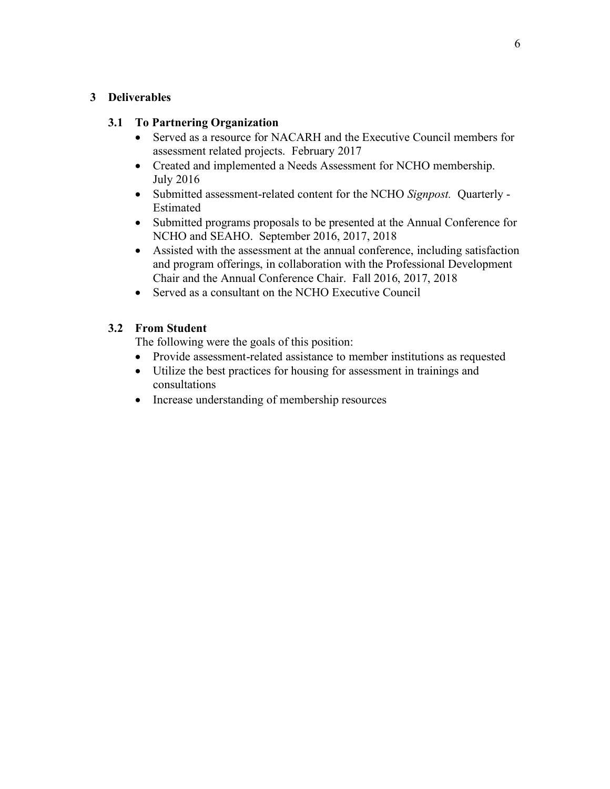# **3 Deliverables**

# **3.1 To Partnering Organization**

- Served as a resource for NACARH and the Executive Council members for assessment related projects. February 2017
- Created and implemented a Needs Assessment for NCHO membership. July 2016
- Submitted assessment-related content for the NCHO *Signpost.* Quarterly Estimated
- Submitted programs proposals to be presented at the Annual Conference for NCHO and SEAHO. September 2016, 2017, 2018
- Assisted with the assessment at the annual conference, including satisfaction and program offerings, in collaboration with the Professional Development Chair and the Annual Conference Chair. Fall 2016, 2017, 2018
- Served as a consultant on the NCHO Executive Council

# **3.2 From Student**

The following were the goals of this position:

- Provide assessment-related assistance to member institutions as requested
- Utilize the best practices for housing for assessment in trainings and consultations
- Increase understanding of membership resources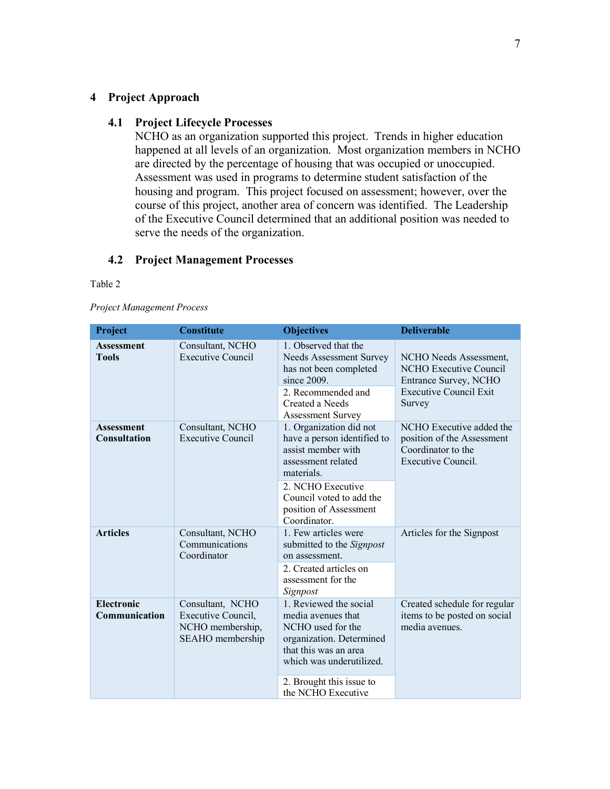#### **4 Project Approach**

#### **4.1 Project Lifecycle Processes**

NCHO as an organization supported this project. Trends in higher education happened at all levels of an organization. Most organization members in NCHO are directed by the percentage of housing that was occupied or unoccupied. Assessment was used in programs to determine student satisfaction of the housing and program. This project focused on assessment; however, over the course of this project, another area of concern was identified. The Leadership of the Executive Council determined that an additional position was needed to serve the needs of the organization.

# **4.2 Project Management Processes**

#### Table 2

*Project Management Process*

| Project                                  | <b>Constitute</b>                                                              | <b>Objectives</b>                                                                                                                                                                                           | <b>Deliverable</b>                                                                                                   |  |  |  |
|------------------------------------------|--------------------------------------------------------------------------------|-------------------------------------------------------------------------------------------------------------------------------------------------------------------------------------------------------------|----------------------------------------------------------------------------------------------------------------------|--|--|--|
| <b>Assessment</b><br><b>Tools</b>        | Consultant, NCHO<br><b>Executive Council</b>                                   | 1. Observed that the<br><b>Needs Assessment Survey</b><br>has not been completed<br>since 2009.<br>2. Recommended and<br>Created a Needs<br><b>Assessment Survey</b>                                        | NCHO Needs Assessment,<br>NCHO Executive Council<br>Entrance Survey, NCHO<br><b>Executive Council Exit</b><br>Survey |  |  |  |
| <b>Assessment</b><br><b>Consultation</b> | Consultant, NCHO<br><b>Executive Council</b>                                   | 1. Organization did not<br>have a person identified to<br>assist member with<br>assessment related<br>materials.<br>2. NCHO Executive<br>Council voted to add the<br>position of Assessment<br>Coordinator. | NCHO Executive added the<br>position of the Assessment<br>Coordinator to the<br><b>Executive Council.</b>            |  |  |  |
| <b>Articles</b>                          | Consultant, NCHO<br>Communications<br>Coordinator                              | 1. Few articles were<br>submitted to the <i>Signpost</i><br>on assessment.<br>2. Created articles on<br>assessment for the<br>Signpost                                                                      | Articles for the Signpost                                                                                            |  |  |  |
| <b>Electronic</b><br>Communication       | Consultant, NCHO<br>Executive Council,<br>NCHO membership,<br>SEAHO membership | 1. Reviewed the social<br>media avenues that<br>NCHO used for the<br>organization. Determined<br>that this was an area<br>which was underutilized.<br>2. Brought this issue to<br>the NCHO Executive        | Created schedule for regular<br>items to be posted on social<br>media avenues.                                       |  |  |  |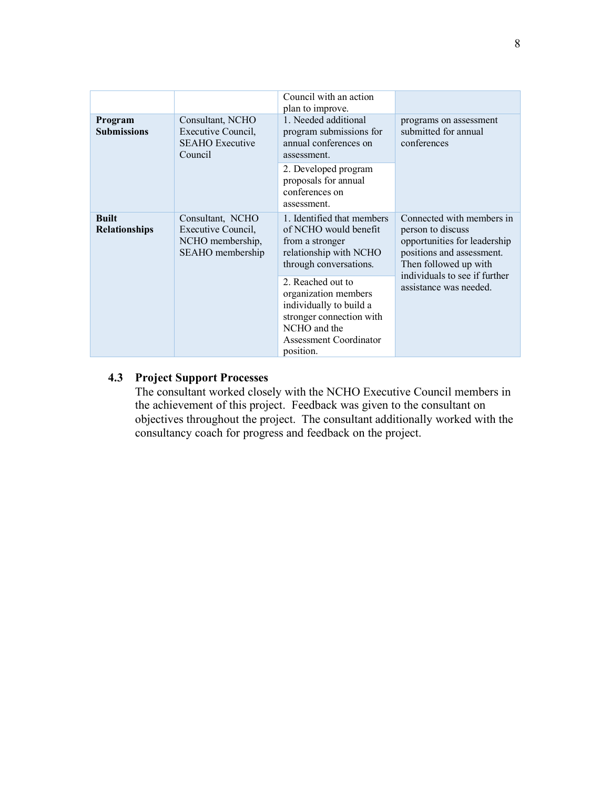|                                      |                                                                                | Council with an action<br>plan to improve.                                                                                                                     |                                                                                                                                                                                                                                        |  |  |
|--------------------------------------|--------------------------------------------------------------------------------|----------------------------------------------------------------------------------------------------------------------------------------------------------------|----------------------------------------------------------------------------------------------------------------------------------------------------------------------------------------------------------------------------------------|--|--|
| Program<br><b>Submissions</b>        | Consultant, NCHO<br>Executive Council,<br><b>SEAHO</b> Executive<br>Council    | 1. Needed additional<br>program submissions for<br>annual conferences on<br>assessment.                                                                        | programs on assessment<br>submitted for annual<br>conferences<br>Connected with members in<br>person to discuss<br>opportunities for leadership<br>positions and assessment.<br>Then followed up with<br>individuals to see if further |  |  |
|                                      |                                                                                | 2. Developed program<br>proposals for annual<br>conferences on<br>assessment.                                                                                  |                                                                                                                                                                                                                                        |  |  |
| <b>Built</b><br><b>Relationships</b> | Consultant, NCHO<br>Executive Council,<br>NCHO membership,<br>SEAHO membership | 1. Identified that members<br>of NCHO would benefit<br>from a stronger<br>relationship with NCHO<br>through conversations.                                     |                                                                                                                                                                                                                                        |  |  |
|                                      |                                                                                | 2. Reached out to<br>organization members<br>individually to build a<br>stronger connection with<br>NCHO and the<br><b>Assessment Coordinator</b><br>position. | assistance was needed.                                                                                                                                                                                                                 |  |  |

# **4.3 Project Support Processes**

The consultant worked closely with the NCHO Executive Council members in the achievement of this project. Feedback was given to the consultant on objectives throughout the project. The consultant additionally worked with the consultancy coach for progress and feedback on the project.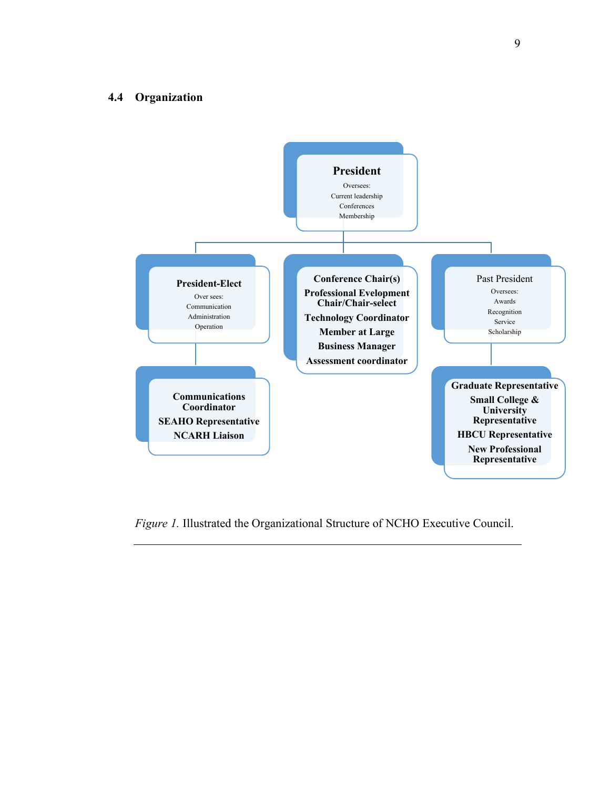#### **4.4 Organization**



*Figure 1.* Illustrated the Organizational Structure of NCHO Executive Council.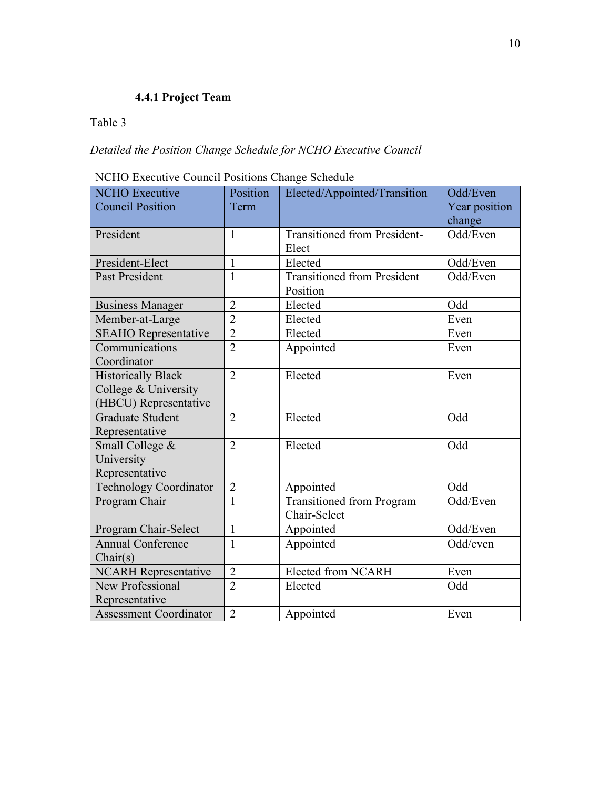# **4.4.1 Project Team**

# Table 3

# *Detailed the Position Change Schedule for NCHO Executive Council*

| NCHO Executive Council Positions Change Schedule |
|--------------------------------------------------|
|--------------------------------------------------|

| <b>NCHO</b> Executive                                                      | Position       | Elected/Appointed/Transition                     | Odd/Even                |
|----------------------------------------------------------------------------|----------------|--------------------------------------------------|-------------------------|
| <b>Council Position</b>                                                    | Term           |                                                  | Year position<br>change |
| President                                                                  | $\mathbf{1}$   | <b>Transitioned from President-</b><br>Elect     | Odd/Even                |
| President-Elect                                                            | $\mathbf{1}$   | Elected                                          | Odd/Even                |
| <b>Past President</b>                                                      | $\mathbf{1}$   | <b>Transitioned from President</b><br>Position   | Odd/Even                |
| <b>Business Manager</b>                                                    | $\overline{2}$ | Elected                                          | Odd                     |
| Member-at-Large                                                            | $\overline{2}$ | Elected                                          | Even                    |
| <b>SEAHO</b> Representative                                                | $\overline{2}$ | Elected                                          | Even                    |
| Communications<br>Coordinator                                              | $\overline{2}$ | Appointed                                        | Even                    |
| <b>Historically Black</b><br>College & University<br>(HBCU) Representative | $\overline{2}$ | Elected                                          | Even                    |
| <b>Graduate Student</b><br>Representative                                  | $\overline{2}$ | Elected                                          | Odd                     |
| Small College &<br>University<br>Representative                            | $\overline{2}$ | Elected                                          | Odd                     |
| <b>Technology Coordinator</b>                                              | $\overline{2}$ | Appointed                                        | Odd                     |
| Program Chair                                                              | $\mathbf{1}$   | <b>Transitioned from Program</b><br>Chair-Select | Odd/Even                |
| Program Chair-Select                                                       | $\mathbf{1}$   | Appointed                                        | Odd/Even                |
| <b>Annual Conference</b><br>Chair(s)                                       | 1              | Appointed                                        | Odd/even                |
| <b>NCARH Representative</b>                                                | $\overline{2}$ | Elected from NCARH                               | Even                    |
| New Professional<br>Representative                                         | $\overline{2}$ | Elected                                          | Odd                     |
| <b>Assessment Coordinator</b>                                              | $\overline{2}$ | Appointed                                        | Even                    |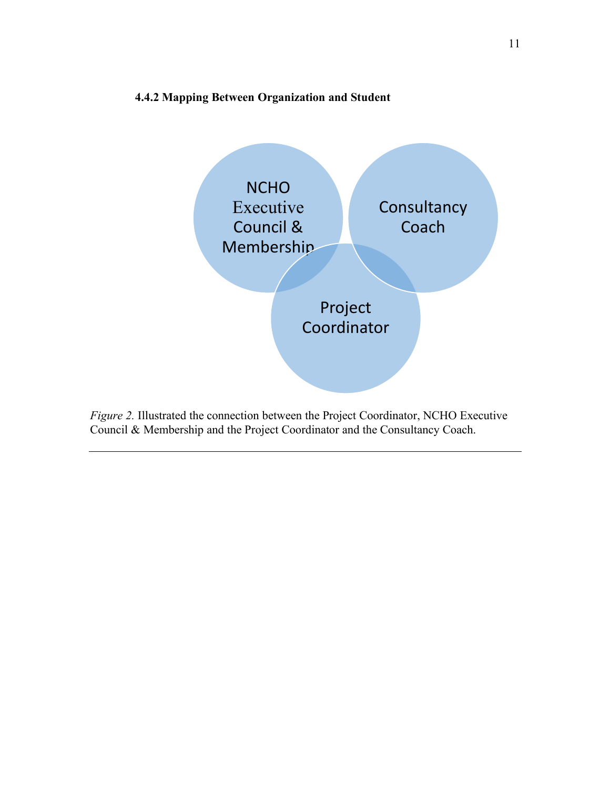# **4.4.2 Mapping Between Organization and Student**



*Figure 2.* Illustrated the connection between the Project Coordinator, NCHO Executive Council & Membership and the Project Coordinator and the Consultancy Coach.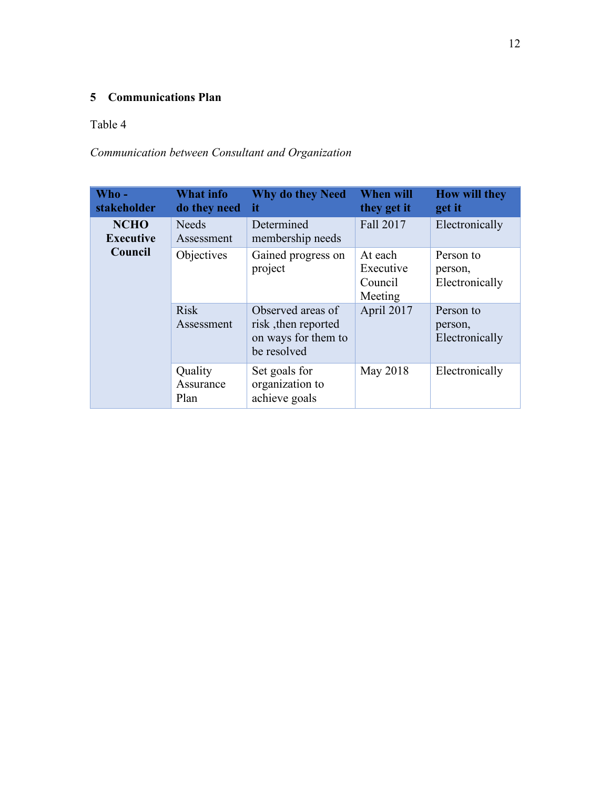# **5 Communications Plan**

# Table 4

# *Communication between Consultant and Organization*

| Who -<br>stakeholder            | <b>What info</b><br>do they need | <b>Why do they Need</b><br>it                                                  | <b>When will</b><br>they get it            | <b>How will they</b><br>get it         |
|---------------------------------|----------------------------------|--------------------------------------------------------------------------------|--------------------------------------------|----------------------------------------|
| <b>NCHO</b><br><b>Executive</b> | <b>Needs</b><br>Assessment       | Determined<br>membership needs                                                 | Fall 2017                                  | Electronically                         |
| Council                         | <b>Objectives</b>                | Gained progress on<br>project                                                  | At each<br>Executive<br>Council<br>Meeting | Person to<br>person,<br>Electronically |
|                                 | <b>Risk</b><br>Assessment        | Observed areas of<br>risk, then reported<br>on ways for them to<br>be resolved | April 2017                                 | Person to<br>person,<br>Electronically |
|                                 | Quality<br>Assurance<br>Plan     | Set goals for<br>organization to<br>achieve goals                              | May 2018                                   | Electronically                         |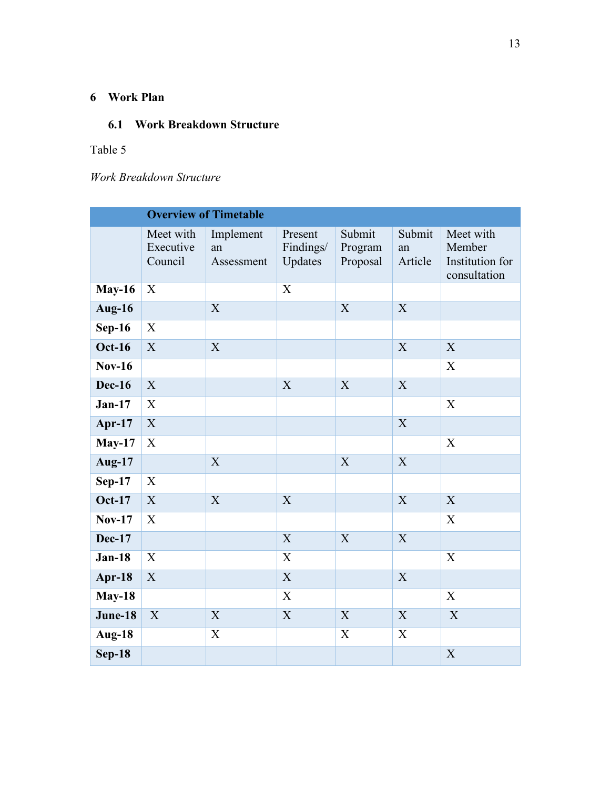# **6 Work Plan**

# **6.1 Work Breakdown Structure**

# Table 5

*Work Breakdown Structure*

|               |                                   | <b>Overview of Timetable</b>  |                                 |                               |                         |                                                        |
|---------------|-----------------------------------|-------------------------------|---------------------------------|-------------------------------|-------------------------|--------------------------------------------------------|
|               | Meet with<br>Executive<br>Council | Implement<br>an<br>Assessment | Present<br>Findings/<br>Updates | Submit<br>Program<br>Proposal | Submit<br>an<br>Article | Meet with<br>Member<br>Institution for<br>consultation |
| <b>May-16</b> | X                                 |                               | $\boldsymbol{X}$                |                               |                         |                                                        |
| Aug-16        |                                   | $\mathbf X$                   |                                 | X                             | $\boldsymbol{X}$        |                                                        |
| $Sep-16$      | X                                 |                               |                                 |                               |                         |                                                        |
| <b>Oct-16</b> | $\boldsymbol{X}$                  | X                             |                                 |                               | X                       | X                                                      |
| <b>Nov-16</b> |                                   |                               |                                 |                               |                         | X                                                      |
| <b>Dec-16</b> | X                                 |                               | X                               | X                             | X                       |                                                        |
| $Jan-17$      | $\mathbf X$                       |                               |                                 |                               |                         | X                                                      |
| Apr-17        | $\mathbf X$                       |                               |                                 |                               | X                       |                                                        |
| $May-17$      | $\boldsymbol{\mathrm{X}}$         |                               |                                 |                               |                         | $\mathbf X$                                            |
| <b>Aug-17</b> |                                   | X                             |                                 | X                             | X                       |                                                        |
| $Sep-17$      | $\boldsymbol{X}$                  |                               |                                 |                               |                         |                                                        |
| <b>Oct-17</b> | X                                 | X                             | X                               |                               | X                       | X                                                      |
| <b>Nov-17</b> | X                                 |                               |                                 |                               |                         | X                                                      |
| <b>Dec-17</b> |                                   |                               | X                               | X                             | X                       |                                                        |
| $Jan-18$      | $\mathbf X$                       |                               | X                               |                               |                         | $\boldsymbol{\mathrm{X}}$                              |
| Apr-18        | $\mathbf X$                       |                               | $\mathbf X$                     |                               | X                       |                                                        |
| <b>May-18</b> |                                   |                               | $\boldsymbol{\mathrm{X}}$       |                               |                         | $\boldsymbol{X}$                                       |
| June-18       | $\boldsymbol{X}$                  | $\boldsymbol{X}$              | $\mathbf X$                     | X                             | X                       | X                                                      |
| Aug-18        |                                   | X                             |                                 | X                             | X                       |                                                        |
| $Sep-18$      |                                   |                               |                                 |                               |                         | $\mathbf X$                                            |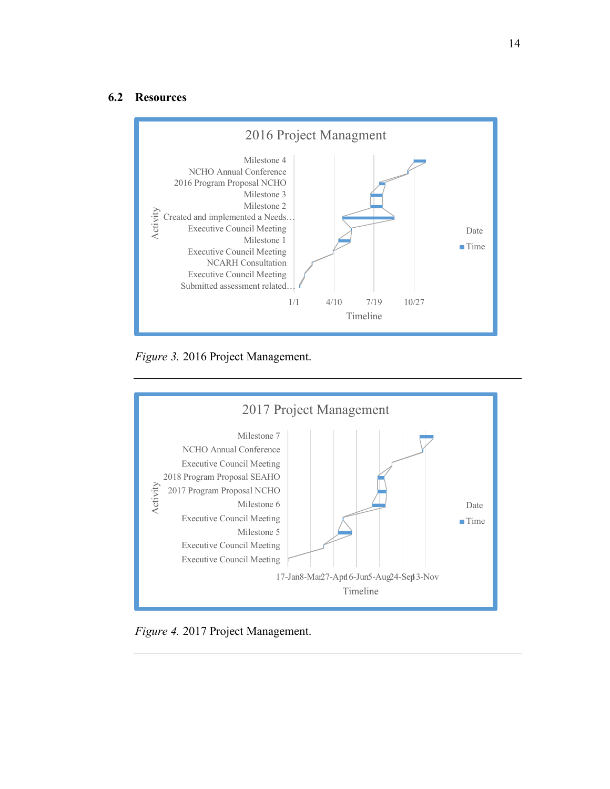#### **6.2 Resources**



*Figure 3.* 2016 Project Management.



*Figure 4.* 2017 Project Management.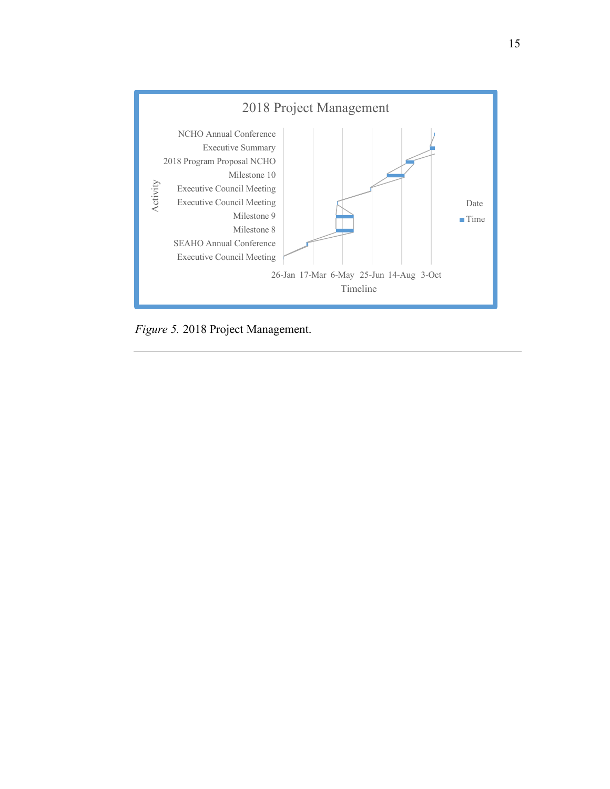

*Figure 5.* 2018 Project Management.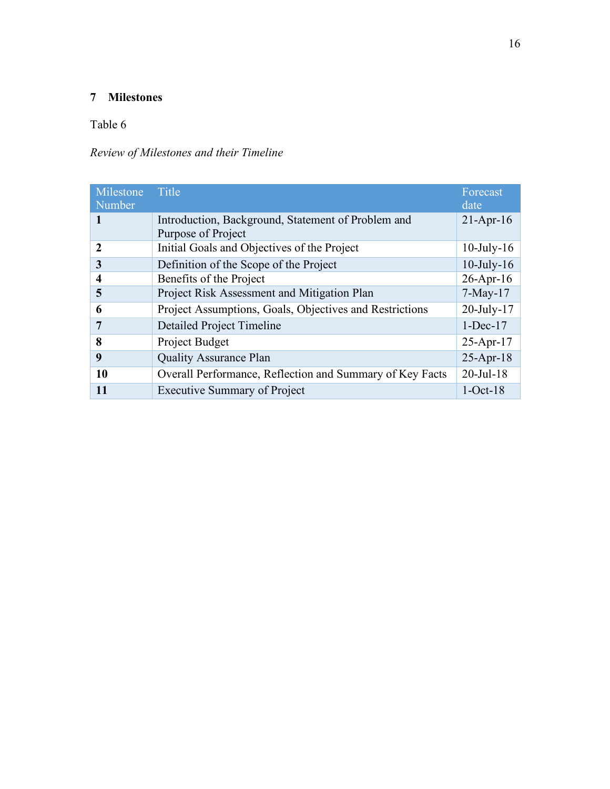# **Milestones**

# Table 6

# *Review of Milestones and their Timeline*

| Milestone<br>Number | <b>Title</b>                                                             | Forecast<br>date |
|---------------------|--------------------------------------------------------------------------|------------------|
|                     | Introduction, Background, Statement of Problem and<br>Purpose of Project | $21-Apr-16$      |
| $\mathbf{2}$        | Initial Goals and Objectives of the Project                              | $10$ -July- $16$ |
| 3                   | Definition of the Scope of the Project                                   | $10$ -July- $16$ |
| $\overline{4}$      | Benefits of the Project                                                  | $26$ -Apr-16     |
| 5                   | Project Risk Assessment and Mitigation Plan                              | $7-May-17$       |
| 6                   | Project Assumptions, Goals, Objectives and Restrictions                  | $20$ -July-17    |
| 7                   | <b>Detailed Project Timeline</b>                                         | $1$ -Dec-17      |
| 8                   | Project Budget                                                           | $25 - Apr - 17$  |
| 9                   | <b>Quality Assurance Plan</b>                                            | $25$ -Apr-18     |
| 10                  | Overall Performance, Reflection and Summary of Key Facts                 | $20$ -Jul-18     |
| 11                  | <b>Executive Summary of Project</b>                                      | $1-Oct-18$       |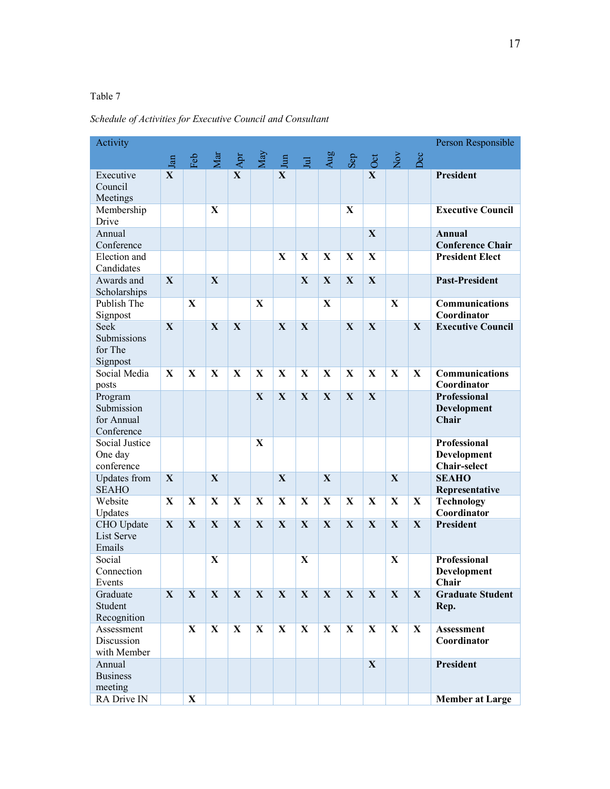# Table 7

*Schedule of Activities for Executive Council and Consultant*

| Activity                                          |              |              |              |                          |              |              |             |              |             |                        |              |              | Person Responsible                                 |
|---------------------------------------------------|--------------|--------------|--------------|--------------------------|--------------|--------------|-------------|--------------|-------------|------------------------|--------------|--------------|----------------------------------------------------|
|                                                   | Jan          |              |              | Feb<br>Mar<br>Apr<br>May |              |              | Jul<br>Aug  |              |             | $\frac{2}{\text{Cov}}$ |              | Dec          |                                                    |
| Executive<br>Council<br>Meetings                  | $\mathbf{X}$ |              |              | $\mathbf{X}$             |              | $\mathbf{X}$ |             |              |             | $\mathbf{X}$           |              |              | President                                          |
| Membership<br>Drive                               |              |              | X            |                          |              |              |             |              | X           |                        |              |              | <b>Executive Council</b>                           |
| Annual<br>Conference                              |              |              |              |                          |              |              |             |              |             | X                      |              |              | Annual<br><b>Conference Chair</b>                  |
| Election and<br>Candidates                        |              |              |              |                          |              | X            | X           | $\mathbf{X}$ | X           | X                      |              |              | <b>President Elect</b>                             |
| Awards and<br>Scholarships                        | $\mathbf X$  |              | $\mathbf{X}$ |                          |              |              | X           | $\mathbf{X}$ | X           | X                      |              |              | <b>Past-President</b>                              |
| Publish The<br>Signpost                           |              | $\mathbf{X}$ |              |                          | X            |              |             | X            |             |                        | X            |              | Communications<br>Coordinator                      |
| Seek<br>Submissions<br>for The<br>Signpost        | X            |              | X            | X                        |              | X            | X           |              | X           | X                      |              | X            | <b>Executive Council</b>                           |
| Social Media<br>posts                             | X            | X            | X            | X                        | $\mathbf{X}$ | X            | X           | X            | X           | X                      | X            | $\mathbf{X}$ | <b>Communications</b><br>Coordinator               |
| Program<br>Submission<br>for Annual<br>Conference |              |              |              |                          | $\mathbf{X}$ | $\mathbf X$  | $\mathbf X$ | $\mathbf X$  | X           | X                      |              |              | <b>Professional</b><br><b>Development</b><br>Chair |
| Social Justice<br>One day<br>conference           |              |              |              |                          | X            |              |             |              |             |                        |              |              | Professional<br>Development<br><b>Chair-select</b> |
| <b>Updates</b> from<br><b>SEAHO</b>               | X            |              | $\mathbf{X}$ |                          |              | $\mathbf{X}$ |             | X            |             |                        | $\mathbf{X}$ |              | <b>SEAHO</b><br>Representative                     |
| Website<br>Updates                                | X            | $\mathbf{X}$ | X            | X                        | X            | X            | X           | X            | $\mathbf X$ | X                      | X            | X            | <b>Technology</b><br>Coordinator                   |
| CHO Update<br><b>List Serve</b><br>Emails         | $\mathbf{X}$ | X            | $\mathbf{X}$ | X                        | X            | X            | X           | X            | X           | X                      | $\mathbf X$  | $\mathbf X$  | <b>President</b>                                   |
| Social<br>Connection<br>Events                    |              |              | X            |                          |              |              | X           |              |             |                        | X            |              | <b>Professional</b><br>Development<br>Chair        |
| Graduate<br>Student<br>Recognition                | X            | $\mathbf{X}$ | $\mathbf{X}$ | $\mathbf{X}$             | $\mathbf{X}$ | $\mathbf{X}$ | X           | X            | X           | $\mathbf{X}$           | X            | X            | <b>Graduate Student</b><br>Rep.                    |
| Assessment<br>Discussion<br>with Member           |              | X            | X            | $\mathbf{X}$             | X            | X            | X           | X            | X           | X                      | X            | $\mathbf X$  | Assessment<br>Coordinator                          |
| Annual<br><b>Business</b><br>meeting              |              |              |              |                          |              |              |             |              |             | X                      |              |              | <b>President</b>                                   |
| RA Drive IN                                       |              | $\mathbf X$  |              |                          |              |              |             |              |             |                        |              |              | <b>Member at Large</b>                             |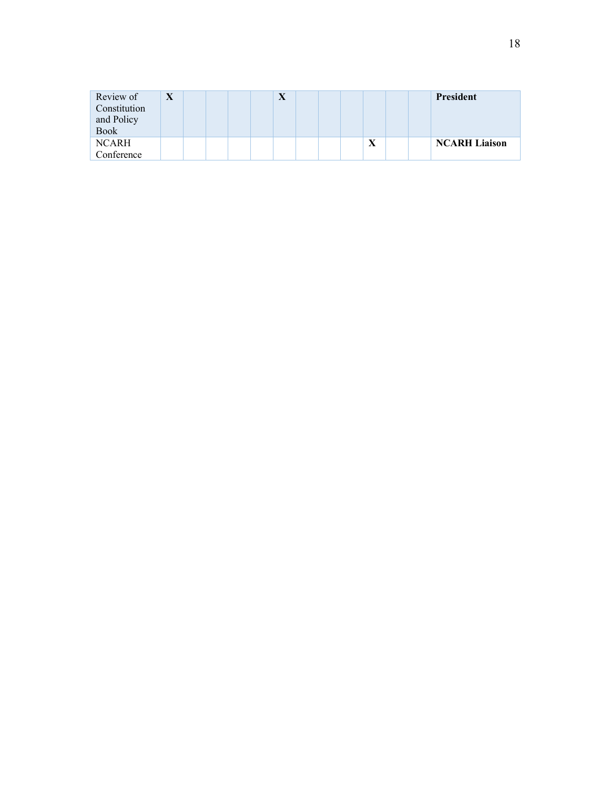| Review of    | $\overline{\mathbf{x}}$<br>$\boldsymbol{\lambda}$ |  | X |  |   |  | President            |
|--------------|---------------------------------------------------|--|---|--|---|--|----------------------|
| Constitution |                                                   |  |   |  |   |  |                      |
| and Policy   |                                                   |  |   |  |   |  |                      |
| <b>Book</b>  |                                                   |  |   |  |   |  |                      |
| <b>NCARH</b> |                                                   |  |   |  | Δ |  | <b>NCARH Liaison</b> |
| Conference   |                                                   |  |   |  |   |  |                      |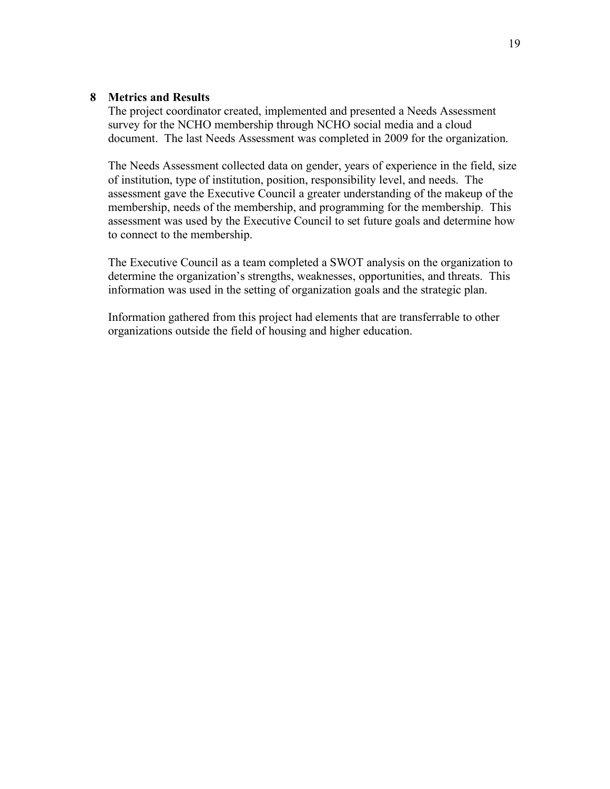#### **8 Metrics and Results**

The project coordinator created, implemented and presented a Needs Assessment survey for the NCHO membership through NCHO social media and a cloud document. The last Needs Assessment was completed in 2009 for the organization.

The Needs Assessment collected data on gender, years of experience in the field, size of institution, type of institution, position, responsibility level, and needs. The assessment gave the Executive Council a greater understanding of the makeup of the membership, needs of the membership, and programming for the membership. This assessment was used by the Executive Council to set future goals and determine how to connect to the membership.

The Executive Council as a team completed a SWOT analysis on the organization to determine the organization's strengths, weaknesses, opportunities, and threats. This information was used in the setting of organization goals and the strategic plan.

Information gathered from this project had elements that are transferrable to other organizations outside the field of housing and higher education.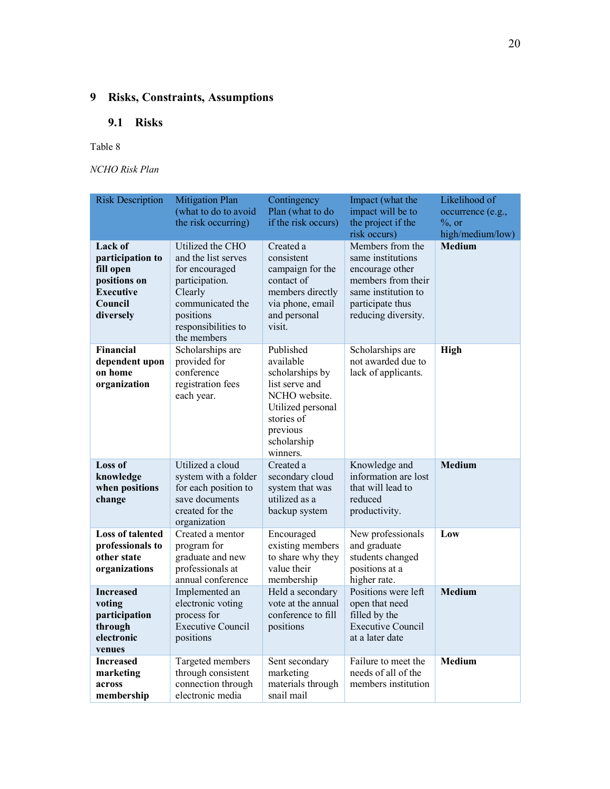# **9 Risks, Constraints, Assumptions**

# **9.1 Risks**

#### Table 8

*NCHO Risk Plan*

| <b>Risk Description</b>                                                                              | <b>Mitigation Plan</b><br>(what to do to avoid<br>the risk occurring)                                                                                         | Contingency<br>Plan (what to do<br>if the risk occurs)                                                                                                 | Impact (what the<br>impact will be to<br>the project if the<br>risk occurs)                                                                      | Likelihood of<br>occurrence (e.g.,<br>$\%$ , or<br>high/medium/low) |
|------------------------------------------------------------------------------------------------------|---------------------------------------------------------------------------------------------------------------------------------------------------------------|--------------------------------------------------------------------------------------------------------------------------------------------------------|--------------------------------------------------------------------------------------------------------------------------------------------------|---------------------------------------------------------------------|
| Lack of<br>participation to<br>fill open<br>positions on<br><b>Executive</b><br>Council<br>diversely | Utilized the CHO<br>and the list serves<br>for encouraged<br>participation.<br>Clearly<br>communicated the<br>positions<br>responsibilities to<br>the members | Created a<br>consistent<br>campaign for the<br>contact of<br>members directly<br>via phone, email<br>and personal<br>visit.                            | Members from the<br>same institutions<br>encourage other<br>members from their<br>same institution to<br>participate thus<br>reducing diversity. | <b>Medium</b>                                                       |
| Financial<br>dependent upon<br>on home<br>organization                                               | Scholarships are<br>provided for<br>conference<br>registration fees<br>each year.                                                                             | Published<br>available<br>scholarships by<br>list serve and<br>NCHO website.<br>Utilized personal<br>stories of<br>previous<br>scholarship<br>winners. | Scholarships are<br>not awarded due to<br>lack of applicants.                                                                                    | High                                                                |
| Loss of<br>knowledge<br>when positions<br>change                                                     | Utilized a cloud<br>system with a folder<br>for each position to<br>save documents<br>created for the<br>organization                                         | Created a<br>secondary cloud<br>system that was<br>utilized as a<br>backup system                                                                      | Knowledge and<br>information are lost<br>that will lead to<br>reduced<br>productivity.                                                           | <b>Medium</b>                                                       |
| <b>Loss of talented</b><br>professionals to<br>other state<br>organizations                          | Created a mentor<br>program for<br>graduate and new<br>professionals at<br>annual conference                                                                  | Encouraged<br>existing members<br>to share why they<br>value their<br>membership                                                                       | New professionals<br>and graduate<br>students changed<br>positions at a<br>higher rate.                                                          | Low                                                                 |
| <b>Increased</b><br>voting<br>participation<br>through<br>electronic<br>venues                       | Implemented an<br>electronic voting<br>process for<br><b>Executive Council</b><br>positions                                                                   | Held a secondary<br>vote at the annual<br>conference to fill<br>positions                                                                              | Positions were left<br>open that need<br>filled by the<br><b>Executive Council</b><br>at a later date                                            | <b>Medium</b>                                                       |
| <b>Increased</b><br>marketing<br>across<br>membership                                                | Targeted members<br>through consistent<br>connection through<br>electronic media                                                                              | Sent secondary<br>marketing<br>materials through<br>snail mail                                                                                         | Failure to meet the<br>needs of all of the<br>members institution                                                                                | <b>Medium</b>                                                       |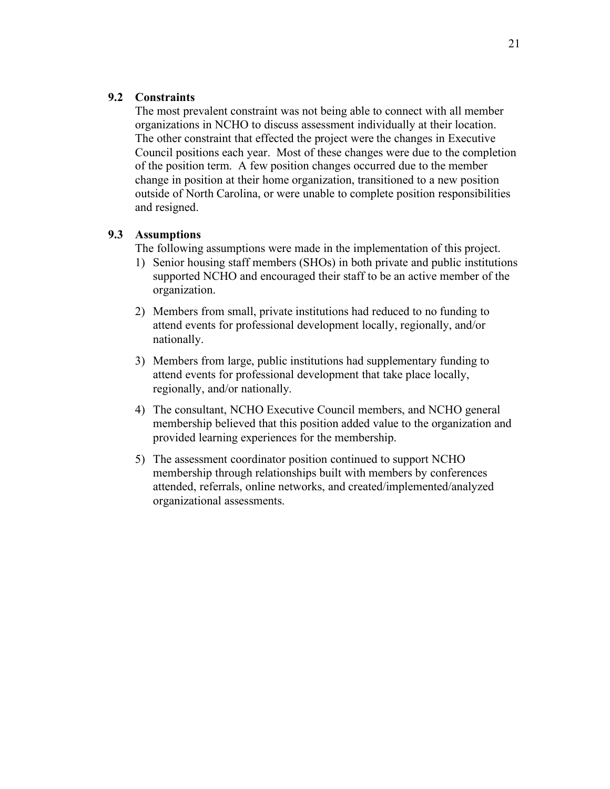### **9.2 Constraints**

The most prevalent constraint was not being able to connect with all member organizations in NCHO to discuss assessment individually at their location. The other constraint that effected the project were the changes in Executive Council positions each year. Most of these changes were due to the completion of the position term. A few position changes occurred due to the member change in position at their home organization, transitioned to a new position outside of North Carolina, or were unable to complete position responsibilities and resigned.

### **9.3 Assumptions**

The following assumptions were made in the implementation of this project.

- 1) Senior housing staff members (SHOs) in both private and public institutions supported NCHO and encouraged their staff to be an active member of the organization.
- 2) Members from small, private institutions had reduced to no funding to attend events for professional development locally, regionally, and/or nationally.
- 3) Members from large, public institutions had supplementary funding to attend events for professional development that take place locally, regionally, and/or nationally.
- 4) The consultant, NCHO Executive Council members, and NCHO general membership believed that this position added value to the organization and provided learning experiences for the membership.
- 5) The assessment coordinator position continued to support NCHO membership through relationships built with members by conferences attended, referrals, online networks, and created/implemented/analyzed organizational assessments.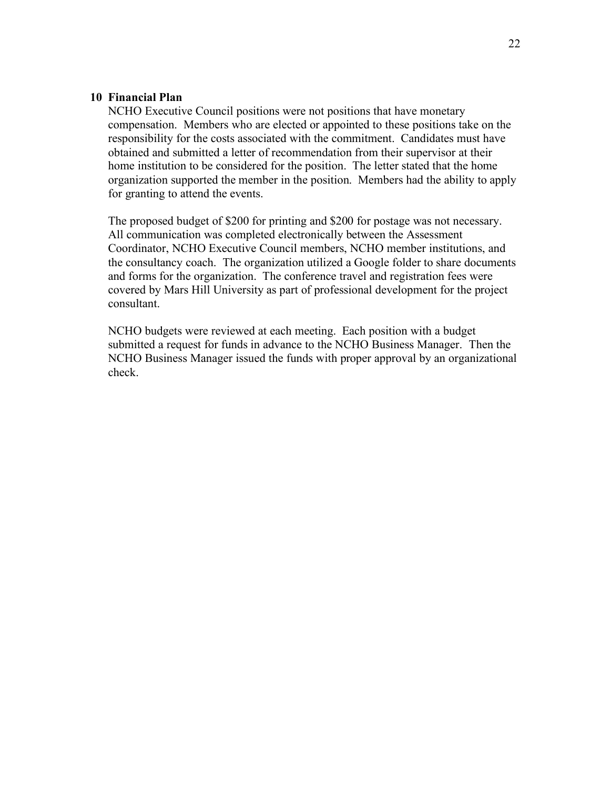#### **10 Financial Plan**

NCHO Executive Council positions were not positions that have monetary compensation. Members who are elected or appointed to these positions take on the responsibility for the costs associated with the commitment. Candidates must have obtained and submitted a letter of recommendation from their supervisor at their home institution to be considered for the position. The letter stated that the home organization supported the member in the position. Members had the ability to apply for granting to attend the events.

The proposed budget of \$200 for printing and \$200 for postage was not necessary. All communication was completed electronically between the Assessment Coordinator, NCHO Executive Council members, NCHO member institutions, and the consultancy coach. The organization utilized a Google folder to share documents and forms for the organization. The conference travel and registration fees were covered by Mars Hill University as part of professional development for the project consultant.

NCHO budgets were reviewed at each meeting. Each position with a budget submitted a request for funds in advance to the NCHO Business Manager. Then the NCHO Business Manager issued the funds with proper approval by an organizational check.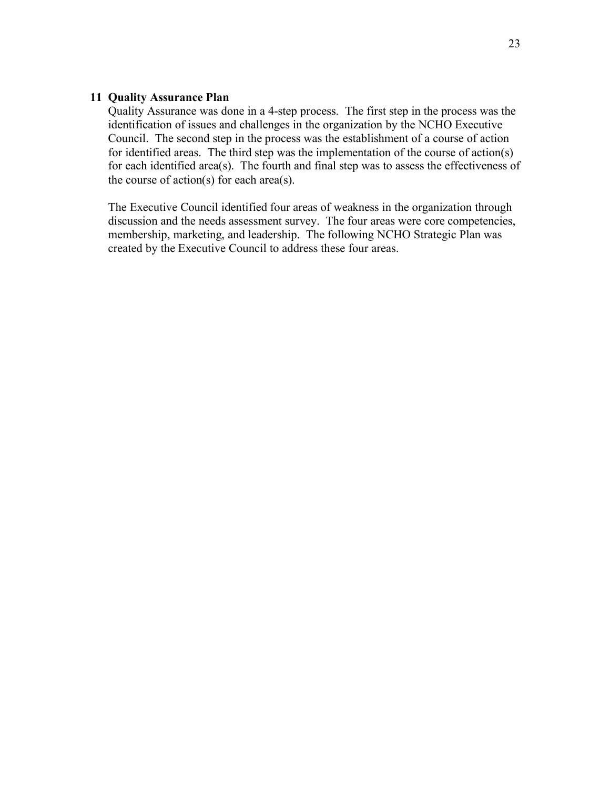#### **11 Quality Assurance Plan**

Quality Assurance was done in a 4-step process. The first step in the process was the identification of issues and challenges in the organization by the NCHO Executive Council. The second step in the process was the establishment of a course of action for identified areas. The third step was the implementation of the course of action(s) for each identified area(s). The fourth and final step was to assess the effectiveness of the course of action(s) for each area(s).

The Executive Council identified four areas of weakness in the organization through discussion and the needs assessment survey. The four areas were core competencies, membership, marketing, and leadership. The following NCHO Strategic Plan was created by the Executive Council to address these four areas.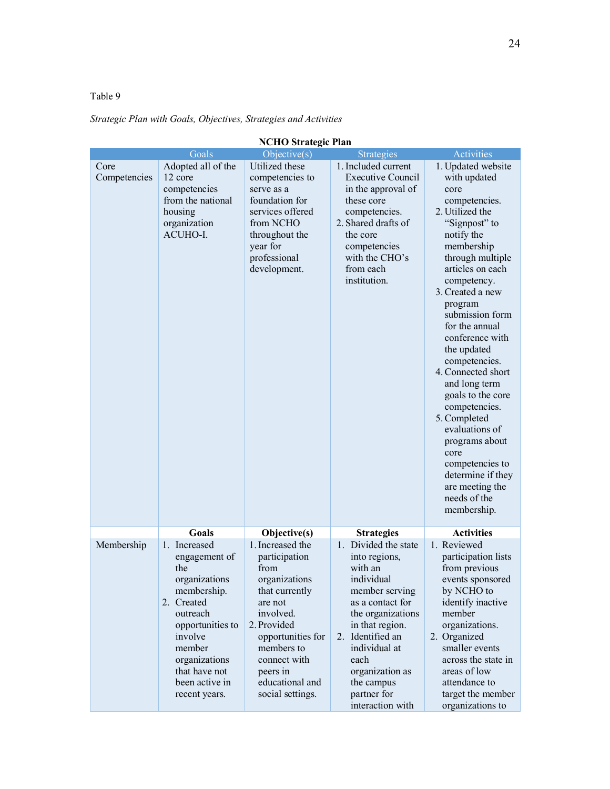# Table 9

# *Strategic Plan with Goals, Objectives, Strategies and Activities*

| <b>NCHO Strategic Plan</b> |                                                                                                                                                                                                              |                                                                                                                                                                                                                           |                                                                                                                                                                                                                                                               |                                                                                                                                                                                                                                                                                                                                                                                                                                                                                                                                              |  |
|----------------------------|--------------------------------------------------------------------------------------------------------------------------------------------------------------------------------------------------------------|---------------------------------------------------------------------------------------------------------------------------------------------------------------------------------------------------------------------------|---------------------------------------------------------------------------------------------------------------------------------------------------------------------------------------------------------------------------------------------------------------|----------------------------------------------------------------------------------------------------------------------------------------------------------------------------------------------------------------------------------------------------------------------------------------------------------------------------------------------------------------------------------------------------------------------------------------------------------------------------------------------------------------------------------------------|--|
|                            | Goals                                                                                                                                                                                                        | Objective(s)                                                                                                                                                                                                              | <b>Strategies</b>                                                                                                                                                                                                                                             | Activities                                                                                                                                                                                                                                                                                                                                                                                                                                                                                                                                   |  |
| Core<br>Competencies       | Adopted all of the<br>12 core<br>competencies<br>from the national<br>housing<br>organization<br>ACUHO-I.                                                                                                    | Utilized these<br>competencies to<br>serve as a<br>foundation for<br>services offered<br>from NCHO<br>throughout the<br>year for<br>professional<br>development.                                                          | 1. Included current<br><b>Executive Council</b><br>in the approval of<br>these core<br>competencies.<br>2. Shared drafts of<br>the core<br>competencies<br>with the CHO's<br>from each<br>institution.                                                        | 1. Updated website<br>with updated<br>core<br>competencies.<br>2. Utilized the<br>"Signpost" to<br>notify the<br>membership<br>through multiple<br>articles on each<br>competency.<br>3. Created a new<br>program<br>submission form<br>for the annual<br>conference with<br>the updated<br>competencies.<br>4. Connected short<br>and long term<br>goals to the core<br>competencies.<br>5. Completed<br>evaluations of<br>programs about<br>core<br>competencies to<br>determine if they<br>are meeting the<br>needs of the<br>membership. |  |
|                            | Goals                                                                                                                                                                                                        | Objective(s)                                                                                                                                                                                                              | <b>Strategies</b>                                                                                                                                                                                                                                             | <b>Activities</b>                                                                                                                                                                                                                                                                                                                                                                                                                                                                                                                            |  |
| Membership                 | 1. Increased<br>engagement of<br>the<br>organizations<br>membership.<br>2. Created<br>outreach<br>opportunities to<br>involve<br>member<br>organizations<br>that have not<br>been active in<br>recent years. | 1. Increased the<br>participation<br>from<br>organizations<br>that currently<br>are not<br>involved.<br>2. Provided<br>opportunities for<br>members to<br>connect with<br>peers in<br>educational and<br>social settings. | 1. Divided the state<br>into regions,<br>with an<br>individual<br>member serving<br>as a contact for<br>the organizations<br>in that region.<br>2. Identified an<br>individual at<br>each<br>organization as<br>the campus<br>partner for<br>interaction with | 1. Reviewed<br>participation lists<br>from previous<br>events sponsored<br>by NCHO to<br>identify inactive<br>member<br>organizations.<br>2. Organized<br>smaller events<br>across the state in<br>areas of low<br>attendance to<br>target the member<br>organizations to                                                                                                                                                                                                                                                                    |  |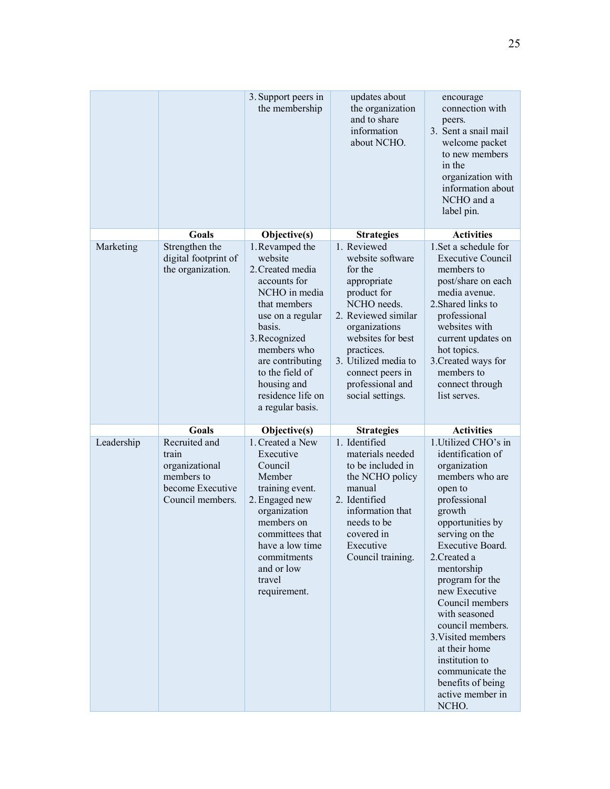|            |                                                                                                | 3. Support peers in<br>the membership                                                                                                                                                                                                     | updates about<br>the organization<br>and to share<br>information<br>about NCHO.                                                                                                                                                         | encourage<br>connection with<br>peers.<br>3. Sent a snail mail<br>welcome packet<br>to new members<br>in the<br>organization with<br>information about<br>NCHO and a<br>label pin.                                                                                                                                                                                                                                                  |
|------------|------------------------------------------------------------------------------------------------|-------------------------------------------------------------------------------------------------------------------------------------------------------------------------------------------------------------------------------------------|-----------------------------------------------------------------------------------------------------------------------------------------------------------------------------------------------------------------------------------------|-------------------------------------------------------------------------------------------------------------------------------------------------------------------------------------------------------------------------------------------------------------------------------------------------------------------------------------------------------------------------------------------------------------------------------------|
| Marketing  | <b>Goals</b><br>Strengthen the                                                                 | Objective(s)<br>1. Revamped the                                                                                                                                                                                                           | <b>Strategies</b><br>1. Reviewed                                                                                                                                                                                                        | <b>Activities</b><br>1.Set a schedule for                                                                                                                                                                                                                                                                                                                                                                                           |
|            | digital footprint of<br>the organization.                                                      | website<br>2. Created media<br>accounts for<br>NCHO in media<br>that members<br>use on a regular<br>basis.<br>3. Recognized<br>members who<br>are contributing<br>to the field of<br>housing and<br>residence life on<br>a regular basis. | website software<br>for the<br>appropriate<br>product for<br>NCHO needs.<br>2. Reviewed similar<br>organizations<br>websites for best<br>practices.<br>3. Utilized media to<br>connect peers in<br>professional and<br>social settings. | <b>Executive Council</b><br>members to<br>post/share on each<br>media avenue.<br>2. Shared links to<br>professional<br>websites with<br>current updates on<br>hot topics.<br>3. Created ways for<br>members to<br>connect through<br>list serves.                                                                                                                                                                                   |
|            | Goals                                                                                          | Objective(s)                                                                                                                                                                                                                              | <b>Strategies</b>                                                                                                                                                                                                                       | <b>Activities</b>                                                                                                                                                                                                                                                                                                                                                                                                                   |
| Leadership | Recruited and<br>train<br>organizational<br>members to<br>become Executive<br>Council members. | 1. Created a New<br>Executive<br>Council<br>Member<br>training event.<br>2. Engaged new<br>organization<br>members on<br>committees that<br>have a low time<br>commitments<br>and or low<br>travel<br>requirement.                        | 1. Identified<br>materials needed<br>to be included in<br>the NCHO policy<br>manual<br>2. Identified<br>information that<br>needs to be<br>covered in<br>Executive<br>Council training.                                                 | 1. Utilized CHO's in<br>identification of<br>organization<br>members who are<br>open to<br>professional<br>growth<br>opportunities by<br>serving on the<br>Executive Board.<br>2. Created a<br>mentorship<br>program for the<br>new Executive<br>Council members<br>with seasoned<br>council members.<br>3. Visited members<br>at their home<br>institution to<br>communicate the<br>benefits of being<br>active member in<br>NCHO. |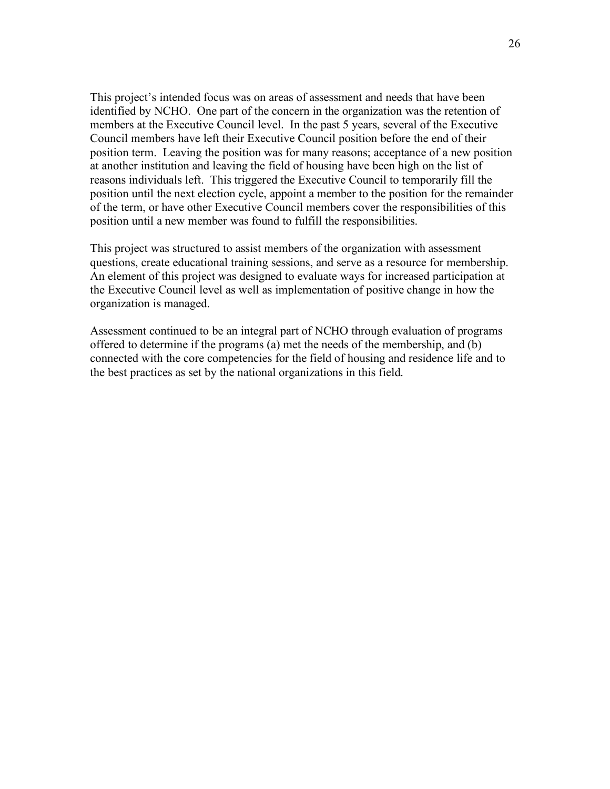This project's intended focus was on areas of assessment and needs that have been identified by NCHO. One part of the concern in the organization was the retention of members at the Executive Council level. In the past 5 years, several of the Executive Council members have left their Executive Council position before the end of their position term. Leaving the position was for many reasons; acceptance of a new position at another institution and leaving the field of housing have been high on the list of reasons individuals left. This triggered the Executive Council to temporarily fill the position until the next election cycle, appoint a member to the position for the remainder of the term, or have other Executive Council members cover the responsibilities of this position until a new member was found to fulfill the responsibilities.

This project was structured to assist members of the organization with assessment questions, create educational training sessions, and serve as a resource for membership. An element of this project was designed to evaluate ways for increased participation at the Executive Council level as well as implementation of positive change in how the organization is managed.

Assessment continued to be an integral part of NCHO through evaluation of programs offered to determine if the programs (a) met the needs of the membership, and (b) connected with the core competencies for the field of housing and residence life and to the best practices as set by the national organizations in this field.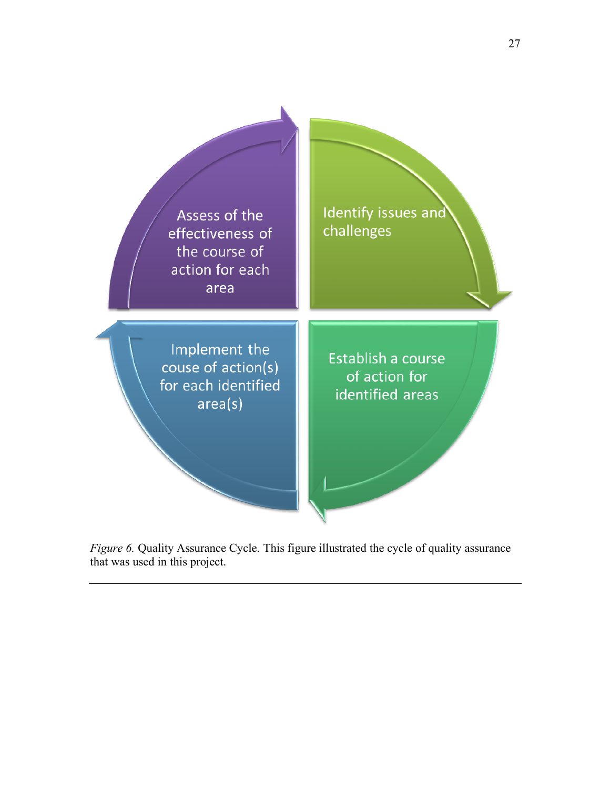

*Figure 6.* Quality Assurance Cycle. This figure illustrated the cycle of quality assurance that was used in this project.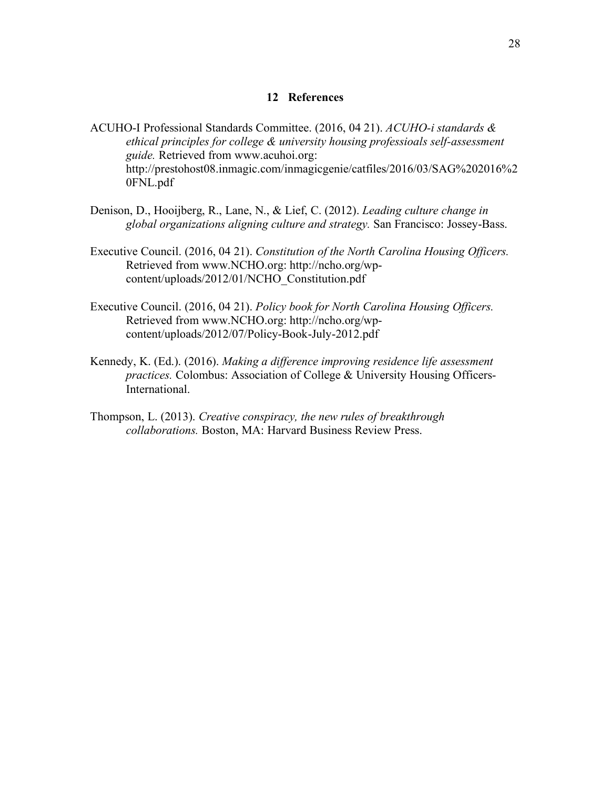#### **12 References**

- ACUHO-I Professional Standards Committee. (2016, 04 21). *ACUHO-i standards & ethical principles for college & university housing professioals self-assessment guide.* Retrieved from www.acuhoi.org: http://prestohost08.inmagic.com/inmagicgenie/catfiles/2016/03/SAG%202016%2 0FNL.pdf
- Denison, D., Hooijberg, R., Lane, N., & Lief, C. (2012). *Leading culture change in global organizations aligning culture and strategy.* San Francisco: Jossey-Bass.
- Executive Council. (2016, 04 21). *Constitution of the North Carolina Housing Officers.* Retrieved from www.NCHO.org: http://ncho.org/wpcontent/uploads/2012/01/NCHO\_Constitution.pdf
- Executive Council. (2016, 04 21). *Policy book for North Carolina Housing Officers.* Retrieved from www.NCHO.org: http://ncho.org/wpcontent/uploads/2012/07/Policy-Book-July-2012.pdf
- Kennedy, K. (Ed.). (2016). *Making a difference improving residence life assessment practices.* Colombus: Association of College & University Housing Officers-International.
- Thompson, L. (2013). *Creative conspiracy, the new rules of breakthrough collaborations.* Boston, MA: Harvard Business Review Press.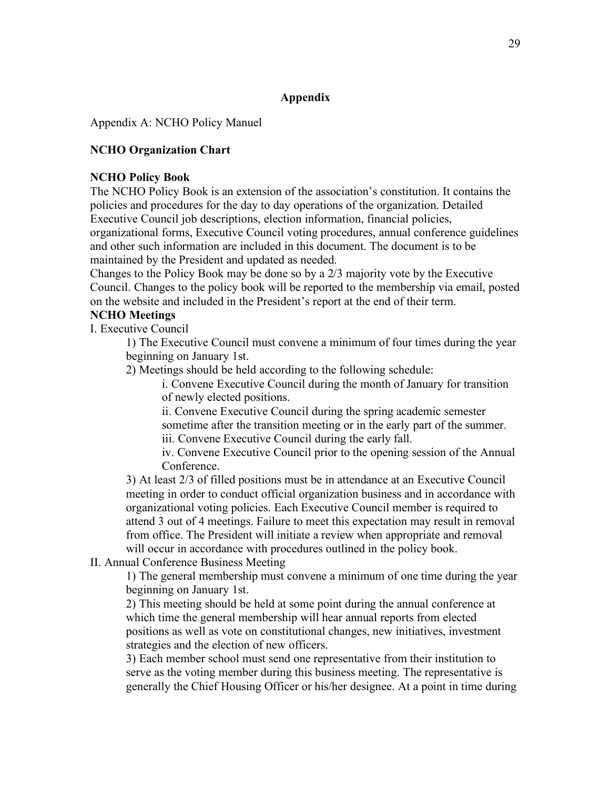# **Appendix**

Appendix A: NCHO Policy Manuel

# **NCHO Organization Chart**

#### **NCHO Policy Book**

The NCHO Policy Book is an extension of the association's constitution. It contains the policies and procedures for the day to day operations of the organization. Detailed Executive Council job descriptions, election information, financial policies, organizational forms, Executive Council voting procedures, annual conference guidelines and other such information are included in this document. The document is to be

maintained by the President and updated as needed.

Changes to the Policy Book may be done so by a 2/3 majority vote by the Executive Council. Changes to the policy book will be reported to the membership via email, posted on the website and included in the President's report at the end of their term.

# **NCHO Meetings**

I. Executive Council

1) The Executive Council must convene a minimum of four times during the year beginning on January 1st.

2) Meetings should be held according to the following schedule:

i. Convene Executive Council during the month of January for transition of newly elected positions.

ii. Convene Executive Council during the spring academic semester sometime after the transition meeting or in the early part of the summer.

iii. Convene Executive Council during the early fall.

iv. Convene Executive Council prior to the opening session of the Annual Conference.

3) At least 2/3 of filled positions must be in attendance at an Executive Council meeting in order to conduct official organization business and in accordance with organizational voting policies. Each Executive Council member is required to attend 3 out of 4 meetings. Failure to meet this expectation may result in removal from office. The President will initiate a review when appropriate and removal will occur in accordance with procedures outlined in the policy book.

### II. Annual Conference Business Meeting

1) The general membership must convene a minimum of one time during the year beginning on January 1st.

2) This meeting should be held at some point during the annual conference at which time the general membership will hear annual reports from elected positions as well as vote on constitutional changes, new initiatives, investment strategies and the election of new officers.

3) Each member school must send one representative from their institution to serve as the voting member during this business meeting. The representative is generally the Chief Housing Officer or his/her designee. At a point in time during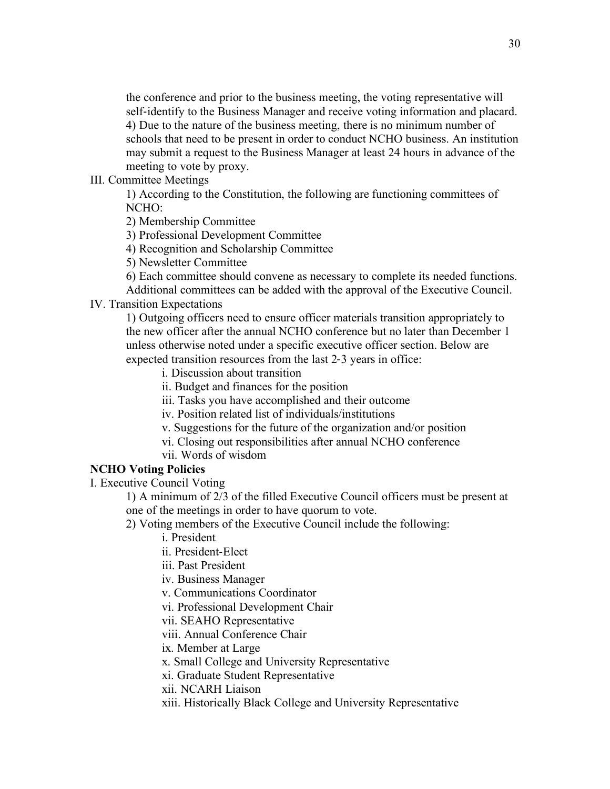the conference and prior to the business meeting, the voting representative will self-identify to the Business Manager and receive voting information and placard. 4) Due to the nature of the business meeting, there is no minimum number of schools that need to be present in order to conduct NCHO business. An institution may submit a request to the Business Manager at least 24 hours in advance of the meeting to vote by proxy.

III. Committee Meetings

1) According to the Constitution, the following are functioning committees of NCHO:

2) Membership Committee

3) Professional Development Committee

4) Recognition and Scholarship Committee

5) Newsletter Committee

6) Each committee should convene as necessary to complete its needed functions. Additional committees can be added with the approval of the Executive Council.

#### IV. Transition Expectations

1) Outgoing officers need to ensure officer materials transition appropriately to the new officer after the annual NCHO conference but no later than December 1 unless otherwise noted under a specific executive officer section. Below are expected transition resources from the last 2-3 years in office:

i. Discussion about transition

ii. Budget and finances for the position

iii. Tasks you have accomplished and their outcome

iv. Position related list of individuals/institutions

v. Suggestions for the future of the organization and/or position

vi. Closing out responsibilities after annual NCHO conference

vii. Words of wisdom

### **NCHO Voting Policies**

I. Executive Council Voting

1) A minimum of 2/3 of the filled Executive Council officers must be present at one of the meetings in order to have quorum to vote.

2) Voting members of the Executive Council include the following:

i. President

ii. President-Elect

iii. Past President

iv. Business Manager

v. Communications Coordinator

vi. Professional Development Chair

vii. SEAHO Representative

viii. Annual Conference Chair

ix. Member at Large

x. Small College and University Representative

xi. Graduate Student Representative

xii. NCARH Liaison

xiii. Historically Black College and University Representative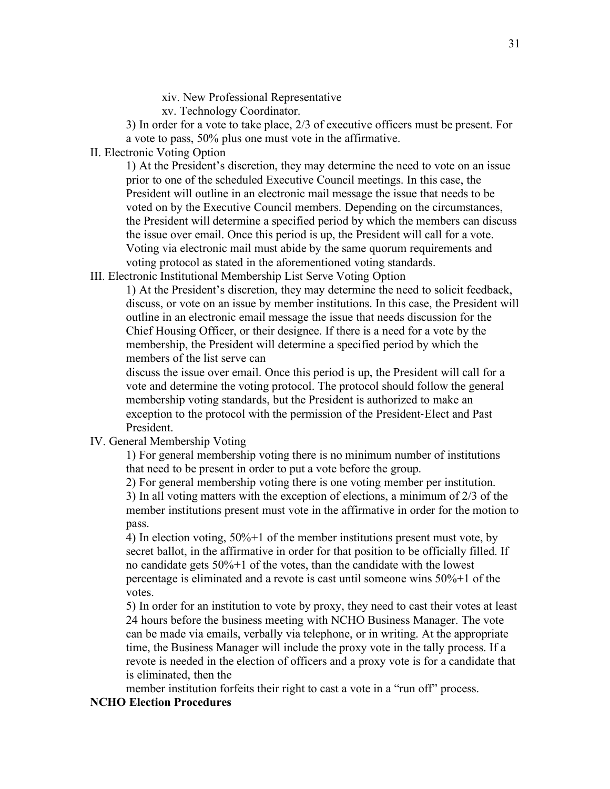xiv. New Professional Representative

xv. Technology Coordinator.

3) In order for a vote to take place, 2/3 of executive officers must be present. For a vote to pass, 50% plus one must vote in the affirmative.

II. Electronic Voting Option

1) At the President's discretion, they may determine the need to vote on an issue prior to one of the scheduled Executive Council meetings. In this case, the President will outline in an electronic mail message the issue that needs to be voted on by the Executive Council members. Depending on the circumstances, the President will determine a specified period by which the members can discuss the issue over email. Once this period is up, the President will call for a vote. Voting via electronic mail must abide by the same quorum requirements and voting protocol as stated in the aforementioned voting standards.

### III. Electronic Institutional Membership List Serve Voting Option

1) At the President's discretion, they may determine the need to solicit feedback, discuss, or vote on an issue by member institutions. In this case, the President will outline in an electronic email message the issue that needs discussion for the Chief Housing Officer, or their designee. If there is a need for a vote by the membership, the President will determine a specified period by which the members of the list serve can

discuss the issue over email. Once this period is up, the President will call for a vote and determine the voting protocol. The protocol should follow the general membership voting standards, but the President is authorized to make an exception to the protocol with the permission of the President-Elect and Past President.

# IV. General Membership Voting

1) For general membership voting there is no minimum number of institutions that need to be present in order to put a vote before the group.

2) For general membership voting there is one voting member per institution. 3) In all voting matters with the exception of elections, a minimum of 2/3 of the member institutions present must vote in the affirmative in order for the motion to pass.

4) In election voting, 50%+1 of the member institutions present must vote, by secret ballot, in the affirmative in order for that position to be officially filled. If no candidate gets 50%+1 of the votes, than the candidate with the lowest percentage is eliminated and a revote is cast until someone wins 50%+1 of the votes.

5) In order for an institution to vote by proxy, they need to cast their votes at least 24 hours before the business meeting with NCHO Business Manager. The vote can be made via emails, verbally via telephone, or in writing. At the appropriate time, the Business Manager will include the proxy vote in the tally process. If a revote is needed in the election of officers and a proxy vote is for a candidate that is eliminated, then the

member institution forfeits their right to cast a vote in a "run off" process.

### **NCHO Election Procedures**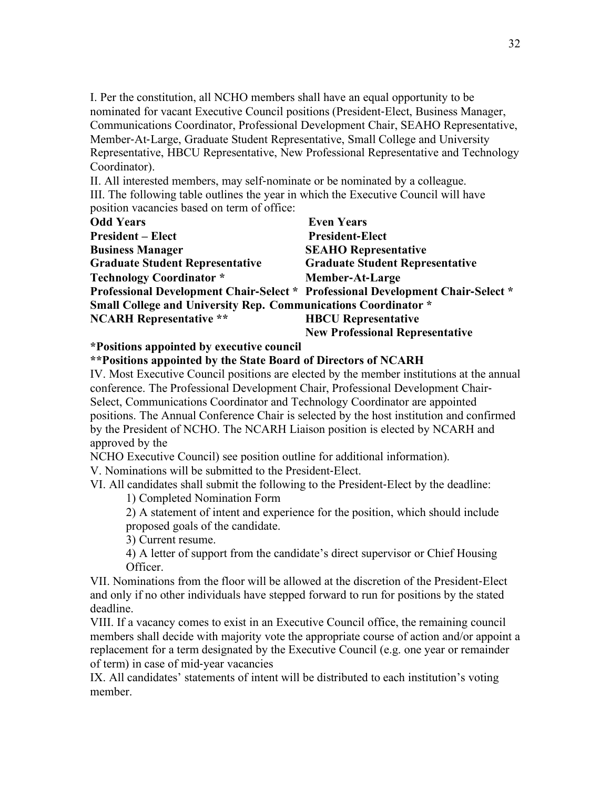I. Per the constitution, all NCHO members shall have an equal opportunity to be nominated for vacant Executive Council positions (President-Elect, Business Manager, Communications Coordinator, Professional Development Chair, SEAHO Representative, Member-At-Large, Graduate Student Representative, Small College and University Representative, HBCU Representative, New Professional Representative and Technology Coordinator).

II. All interested members, may self-nominate or be nominated by a colleague. III. The following table outlines the year in which the Executive Council will have position vacancies based on term of office:

| <b>Odd Years</b>                                                      | <b>Even Years</b>                                                               |
|-----------------------------------------------------------------------|---------------------------------------------------------------------------------|
| <b>President – Elect</b>                                              | <b>President-Elect</b>                                                          |
| <b>Business Manager</b>                                               | <b>SEAHO Representative</b>                                                     |
| <b>Graduate Student Representative</b>                                | <b>Graduate Student Representative</b>                                          |
| <b>Technology Coordinator</b> *                                       | <b>Member-At-Large</b>                                                          |
|                                                                       | Professional Development Chair-Select * Professional Development Chair-Select * |
| <b>Small College and University Rep. Communications Coordinator *</b> |                                                                                 |
| <b>NCARH Representative **</b>                                        | <b>HBCU</b> Representative                                                      |
|                                                                       | <b>New Professional Representative</b>                                          |

### **\*Positions appointed by executive council**

#### **\*\*Positions appointed by the State Board of Directors of NCARH**

IV. Most Executive Council positions are elected by the member institutions at the annual conference. The Professional Development Chair, Professional Development Chair-Select, Communications Coordinator and Technology Coordinator are appointed positions. The Annual Conference Chair is selected by the host institution and confirmed by the President of NCHO. The NCARH Liaison position is elected by NCARH and approved by the

NCHO Executive Council) see position outline for additional information).

V. Nominations will be submitted to the President-Elect.

VI. All candidates shall submit the following to the President-Elect by the deadline:

1) Completed Nomination Form

2) A statement of intent and experience for the position, which should include proposed goals of the candidate.

3) Current resume.

4) A letter of support from the candidate's direct supervisor or Chief Housing Officer.

VII. Nominations from the floor will be allowed at the discretion of the President-Elect and only if no other individuals have stepped forward to run for positions by the stated deadline.

VIII. If a vacancy comes to exist in an Executive Council office, the remaining council members shall decide with majority vote the appropriate course of action and/or appoint a replacement for a term designated by the Executive Council (e.g. one year or remainder of term) in case of mid-year vacancies

IX. All candidates' statements of intent will be distributed to each institution's voting member.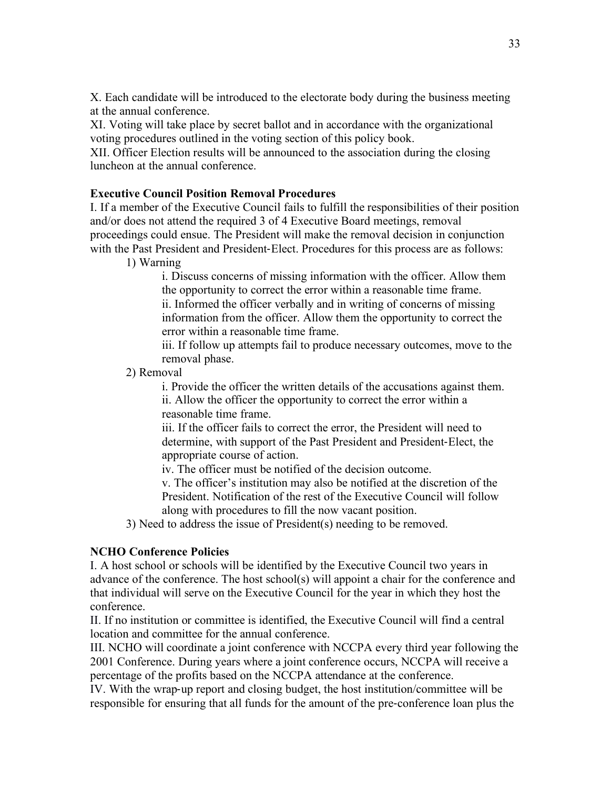X. Each candidate will be introduced to the electorate body during the business meeting at the annual conference.

XI. Voting will take place by secret ballot and in accordance with the organizational voting procedures outlined in the voting section of this policy book.

XII. Officer Election results will be announced to the association during the closing luncheon at the annual conference.

# **Executive Council Position Removal Procedures**

I. If a member of the Executive Council fails to fulfill the responsibilities of their position and/or does not attend the required 3 of 4 Executive Board meetings, removal proceedings could ensue. The President will make the removal decision in conjunction with the Past President and President-Elect. Procedures for this process are as follows:

1) Warning

i. Discuss concerns of missing information with the officer. Allow them the opportunity to correct the error within a reasonable time frame. ii. Informed the officer verbally and in writing of concerns of missing information from the officer. Allow them the opportunity to correct the error within a reasonable time frame.

iii. If follow up attempts fail to produce necessary outcomes, move to the removal phase.

2) Removal

i. Provide the officer the written details of the accusations against them.

ii. Allow the officer the opportunity to correct the error within a reasonable time frame.

iii. If the officer fails to correct the error, the President will need to determine, with support of the Past President and President-Elect, the appropriate course of action.

iv. The officer must be notified of the decision outcome.

v. The officer's institution may also be notified at the discretion of the President. Notification of the rest of the Executive Council will follow along with procedures to fill the now vacant position.

3) Need to address the issue of President(s) needing to be removed.

# **NCHO Conference Policies**

I. A host school or schools will be identified by the Executive Council two years in advance of the conference. The host school(s) will appoint a chair for the conference and that individual will serve on the Executive Council for the year in which they host the conference.

II. If no institution or committee is identified, the Executive Council will find a central location and committee for the annual conference.

III. NCHO will coordinate a joint conference with NCCPA every third year following the 2001 Conference. During years where a joint conference occurs, NCCPA will receive a percentage of the profits based on the NCCPA attendance at the conference.

IV. With the wrap-up report and closing budget, the host institution/committee will be responsible for ensuring that all funds for the amount of the pre-conference loan plus the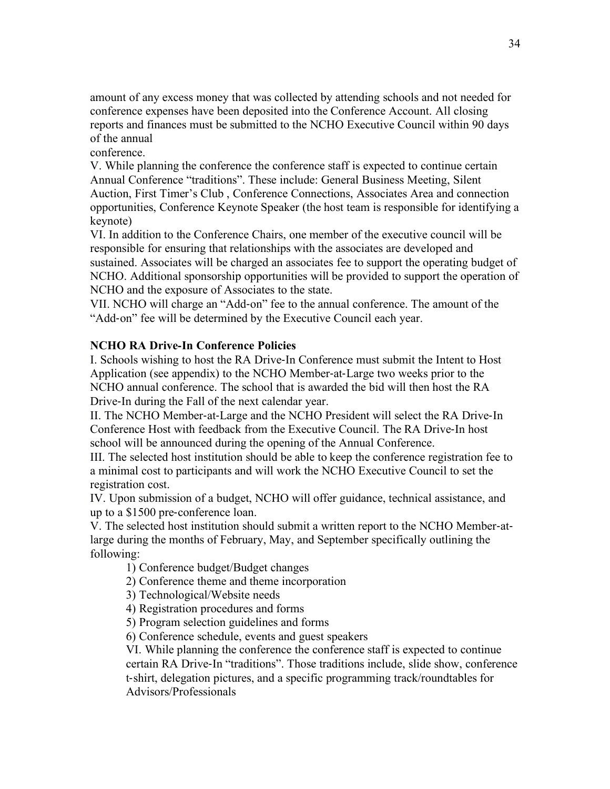amount of any excess money that was collected by attending schools and not needed for conference expenses have been deposited into the Conference Account. All closing reports and finances must be submitted to the NCHO Executive Council within 90 days of the annual

conference.

V. While planning the conference the conference staff is expected to continue certain Annual Conference "traditions". These include: General Business Meeting, Silent Auction, First Timer's Club , Conference Connections, Associates Area and connection opportunities, Conference Keynote Speaker (the host team is responsible for identifying a keynote)

VI. In addition to the Conference Chairs, one member of the executive council will be responsible for ensuring that relationships with the associates are developed and sustained. Associates will be charged an associates fee to support the operating budget of NCHO. Additional sponsorship opportunities will be provided to support the operation of NCHO and the exposure of Associates to the state.

VII. NCHO will charge an "Add-on" fee to the annual conference. The amount of the "Add-on" fee will be determined by the Executive Council each year.

# **NCHO RA Drive**-**In Conference Policies**

I. Schools wishing to host the RA Drive-In Conference must submit the Intent to Host Application (see appendix) to the NCHO Member-at-Large two weeks prior to the NCHO annual conference. The school that is awarded the bid will then host the RA Drive-In during the Fall of the next calendar year.

II. The NCHO Member-at-Large and the NCHO President will select the RA Drive-In Conference Host with feedback from the Executive Council. The RA Drive-In host school will be announced during the opening of the Annual Conference.

III. The selected host institution should be able to keep the conference registration fee to a minimal cost to participants and will work the NCHO Executive Council to set the registration cost.

IV. Upon submission of a budget, NCHO will offer guidance, technical assistance, and up to a \$1500 pre-conference loan.

V. The selected host institution should submit a written report to the NCHO Member-atlarge during the months of February, May, and September specifically outlining the following:

- 1) Conference budget/Budget changes
- 2) Conference theme and theme incorporation
- 3) Technological/Website needs
- 4) Registration procedures and forms
- 5) Program selection guidelines and forms
- 6) Conference schedule, events and guest speakers

VI. While planning the conference the conference staff is expected to continue certain RA Drive-In "traditions". Those traditions include, slide show, conference t-shirt, delegation pictures, and a specific programming track/roundtables for Advisors/Professionals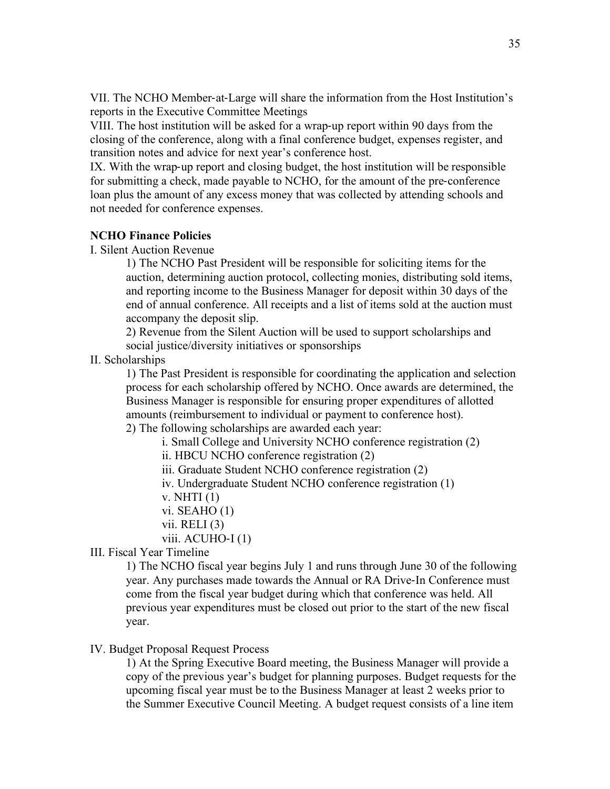VII. The NCHO Member-at-Large will share the information from the Host Institution's reports in the Executive Committee Meetings

VIII. The host institution will be asked for a wrap-up report within 90 days from the closing of the conference, along with a final conference budget, expenses register, and transition notes and advice for next year's conference host.

IX. With the wrap-up report and closing budget, the host institution will be responsible for submitting a check, made payable to NCHO, for the amount of the pre-conference loan plus the amount of any excess money that was collected by attending schools and not needed for conference expenses.

### **NCHO Finance Policies**

I. Silent Auction Revenue

1) The NCHO Past President will be responsible for soliciting items for the auction, determining auction protocol, collecting monies, distributing sold items, and reporting income to the Business Manager for deposit within 30 days of the end of annual conference. All receipts and a list of items sold at the auction must accompany the deposit slip.

2) Revenue from the Silent Auction will be used to support scholarships and social justice/diversity initiatives or sponsorships

II. Scholarships

1) The Past President is responsible for coordinating the application and selection process for each scholarship offered by NCHO. Once awards are determined, the Business Manager is responsible for ensuring proper expenditures of allotted amounts (reimbursement to individual or payment to conference host). 2) The following scholarships are awarded each year:

i. Small College and University NCHO conference registration (2)

ii. HBCU NCHO conference registration (2)

iii. Graduate Student NCHO conference registration (2)

iv. Undergraduate Student NCHO conference registration (1)

v. NHTI (1)

vi. SEAHO (1)

vii. RELI  $(3)$ 

viii. ACUHO-I (1)

III. Fiscal Year Timeline

1) The NCHO fiscal year begins July 1 and runs through June 30 of the following year. Any purchases made towards the Annual or RA Drive-In Conference must come from the fiscal year budget during which that conference was held. All previous year expenditures must be closed out prior to the start of the new fiscal year.

### IV. Budget Proposal Request Process

1) At the Spring Executive Board meeting, the Business Manager will provide a copy of the previous year's budget for planning purposes. Budget requests for the upcoming fiscal year must be to the Business Manager at least 2 weeks prior to the Summer Executive Council Meeting. A budget request consists of a line item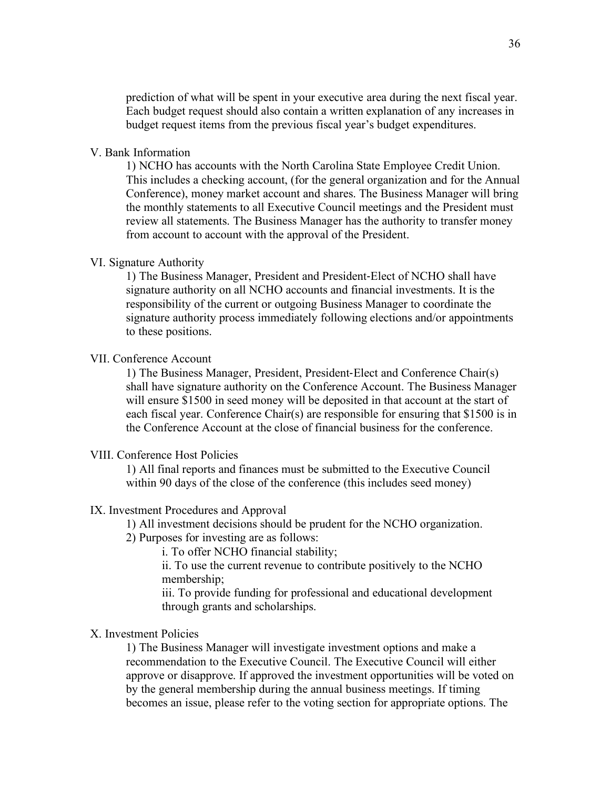prediction of what will be spent in your executive area during the next fiscal year. Each budget request should also contain a written explanation of any increases in budget request items from the previous fiscal year's budget expenditures.

#### V. Bank Information

1) NCHO has accounts with the North Carolina State Employee Credit Union. This includes a checking account, (for the general organization and for the Annual Conference), money market account and shares. The Business Manager will bring the monthly statements to all Executive Council meetings and the President must review all statements. The Business Manager has the authority to transfer money from account to account with the approval of the President.

#### VI. Signature Authority

1) The Business Manager, President and President-Elect of NCHO shall have signature authority on all NCHO accounts and financial investments. It is the responsibility of the current or outgoing Business Manager to coordinate the signature authority process immediately following elections and/or appointments to these positions.

#### VII. Conference Account

1) The Business Manager, President, President-Elect and Conference Chair(s) shall have signature authority on the Conference Account. The Business Manager will ensure \$1500 in seed money will be deposited in that account at the start of each fiscal year. Conference Chair(s) are responsible for ensuring that \$1500 is in the Conference Account at the close of financial business for the conference.

#### VIII. Conference Host Policies

1) All final reports and finances must be submitted to the Executive Council within 90 days of the close of the conference (this includes seed money)

#### IX. Investment Procedures and Approval

1) All investment decisions should be prudent for the NCHO organization.

2) Purposes for investing are as follows:

i. To offer NCHO financial stability;

ii. To use the current revenue to contribute positively to the NCHO membership;

iii. To provide funding for professional and educational development through grants and scholarships.

#### X. Investment Policies

1) The Business Manager will investigate investment options and make a recommendation to the Executive Council. The Executive Council will either approve or disapprove. If approved the investment opportunities will be voted on by the general membership during the annual business meetings. If timing becomes an issue, please refer to the voting section for appropriate options. The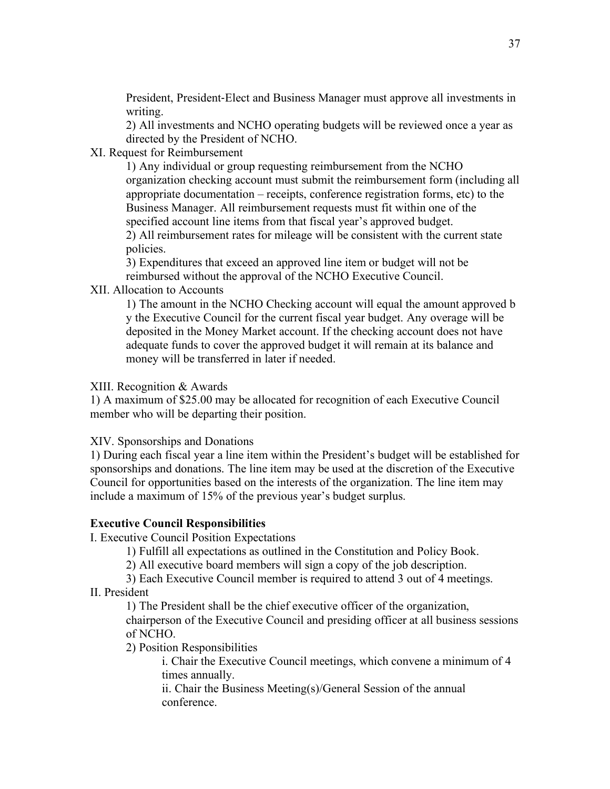President, President-Elect and Business Manager must approve all investments in writing.

2) All investments and NCHO operating budgets will be reviewed once a year as directed by the President of NCHO.

XI. Request for Reimbursement

1) Any individual or group requesting reimbursement from the NCHO organization checking account must submit the reimbursement form (including all appropriate documentation – receipts, conference registration forms, etc) to the Business Manager. All reimbursement requests must fit within one of the specified account line items from that fiscal year's approved budget.

2) All reimbursement rates for mileage will be consistent with the current state policies.

3) Expenditures that exceed an approved line item or budget will not be reimbursed without the approval of the NCHO Executive Council.

XII. Allocation to Accounts

1) The amount in the NCHO Checking account will equal the amount approved b y the Executive Council for the current fiscal year budget. Any overage will be deposited in the Money Market account. If the checking account does not have adequate funds to cover the approved budget it will remain at its balance and money will be transferred in later if needed.

# XIII. Recognition & Awards

1) A maximum of \$25.00 may be allocated for recognition of each Executive Council member who will be departing their position.

# XIV. Sponsorships and Donations

1) During each fiscal year a line item within the President's budget will be established for sponsorships and donations. The line item may be used at the discretion of the Executive Council for opportunities based on the interests of the organization. The line item may include a maximum of 15% of the previous year's budget surplus.

# **Executive Council Responsibilities**

I. Executive Council Position Expectations

1) Fulfill all expectations as outlined in the Constitution and Policy Book.

2) All executive board members will sign a copy of the job description.

3) Each Executive Council member is required to attend 3 out of 4 meetings. II. President

1) The President shall be the chief executive officer of the organization,

chairperson of the Executive Council and presiding officer at all business sessions of NCHO.

2) Position Responsibilities

i. Chair the Executive Council meetings, which convene a minimum of 4 times annually.

ii. Chair the Business Meeting(s)/General Session of the annual conference.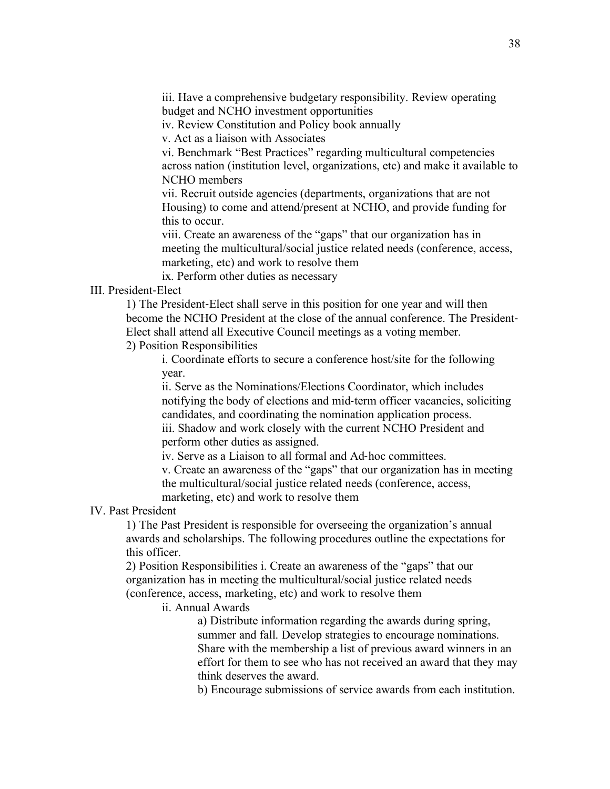iii. Have a comprehensive budgetary responsibility. Review operating budget and NCHO investment opportunities

iv. Review Constitution and Policy book annually

v. Act as a liaison with Associates

vi. Benchmark "Best Practices" regarding multicultural competencies across nation (institution level, organizations, etc) and make it available to NCHO members

vii. Recruit outside agencies (departments, organizations that are not Housing) to come and attend/present at NCHO, and provide funding for this to occur.

viii. Create an awareness of the "gaps" that our organization has in meeting the multicultural/social justice related needs (conference, access, marketing, etc) and work to resolve them

ix. Perform other duties as necessary

#### III. President-Elect

1) The President-Elect shall serve in this position for one year and will then become the NCHO President at the close of the annual conference. The President-Elect shall attend all Executive Council meetings as a voting member.

# 2) Position Responsibilities

i. Coordinate efforts to secure a conference host/site for the following year.

ii. Serve as the Nominations/Elections Coordinator, which includes notifying the body of elections and mid-term officer vacancies, soliciting candidates, and coordinating the nomination application process. iii. Shadow and work closely with the current NCHO President and perform other duties as assigned.

iv. Serve as a Liaison to all formal and Ad-hoc committees.

v. Create an awareness of the "gaps" that our organization has in meeting the multicultural/social justice related needs (conference, access, marketing, etc) and work to resolve them

#### IV. Past President

1) The Past President is responsible for overseeing the organization's annual awards and scholarships. The following procedures outline the expectations for this officer.

2) Position Responsibilities i. Create an awareness of the "gaps" that our organization has in meeting the multicultural/social justice related needs (conference, access, marketing, etc) and work to resolve them

ii. Annual Awards

a) Distribute information regarding the awards during spring, summer and fall. Develop strategies to encourage nominations. Share with the membership a list of previous award winners in an effort for them to see who has not received an award that they may think deserves the award.

b) Encourage submissions of service awards from each institution.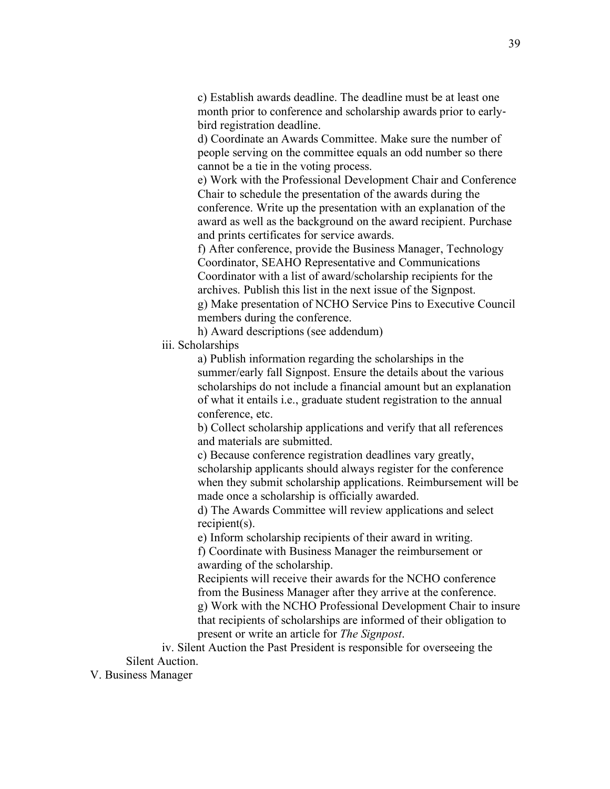c) Establish awards deadline. The deadline must be at least one month prior to conference and scholarship awards prior to earlybird registration deadline.

d) Coordinate an Awards Committee. Make sure the number of people serving on the committee equals an odd number so there cannot be a tie in the voting process.

e) Work with the Professional Development Chair and Conference Chair to schedule the presentation of the awards during the conference. Write up the presentation with an explanation of the award as well as the background on the award recipient. Purchase and prints certificates for service awards.

f) After conference, provide the Business Manager, Technology Coordinator, SEAHO Representative and Communications Coordinator with a list of award/scholarship recipients for the archives. Publish this list in the next issue of the Signpost.

g) Make presentation of NCHO Service Pins to Executive Council members during the conference.

h) Award descriptions (see addendum)

iii. Scholarships

a) Publish information regarding the scholarships in the summer/early fall Signpost. Ensure the details about the various scholarships do not include a financial amount but an explanation of what it entails i.e., graduate student registration to the annual conference, etc.

b) Collect scholarship applications and verify that all references and materials are submitted.

c) Because conference registration deadlines vary greatly, scholarship applicants should always register for the conference when they submit scholarship applications. Reimbursement will be made once a scholarship is officially awarded.

d) The Awards Committee will review applications and select recipient(s).

e) Inform scholarship recipients of their award in writing.

f) Coordinate with Business Manager the reimbursement or awarding of the scholarship.

Recipients will receive their awards for the NCHO conference from the Business Manager after they arrive at the conference. g) Work with the NCHO Professional Development Chair to insure that recipients of scholarships are informed of their obligation to present or write an article for *The Signpost*.

iv. Silent Auction the Past President is responsible for overseeing the Silent Auction.

V. Business Manager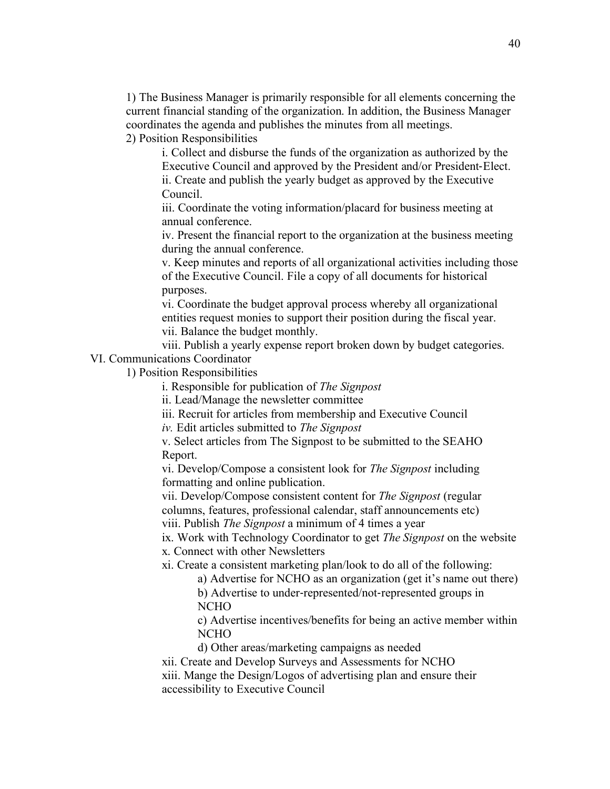1) The Business Manager is primarily responsible for all elements concerning the current financial standing of the organization. In addition, the Business Manager coordinates the agenda and publishes the minutes from all meetings.

2) Position Responsibilities

i. Collect and disburse the funds of the organization as authorized by the Executive Council and approved by the President and/or President-Elect. ii. Create and publish the yearly budget as approved by the Executive Council.

iii. Coordinate the voting information/placard for business meeting at annual conference.

iv. Present the financial report to the organization at the business meeting during the annual conference.

v. Keep minutes and reports of all organizational activities including those of the Executive Council. File a copy of all documents for historical purposes.

vi. Coordinate the budget approval process whereby all organizational entities request monies to support their position during the fiscal year. vii. Balance the budget monthly.

viii. Publish a yearly expense report broken down by budget categories.

VI. Communications Coordinator

1) Position Responsibilities

i. Responsible for publication of *The Signpost*

ii. Lead/Manage the newsletter committee

iii. Recruit for articles from membership and Executive Council

*iv.* Edit articles submitted to *The Signpost*

v. Select articles from The Signpost to be submitted to the SEAHO Report.

vi. Develop/Compose a consistent look for *The Signpost* including formatting and online publication.

vii. Develop/Compose consistent content for *The Signpost* (regular columns, features, professional calendar, staff announcements etc) viii. Publish *The Signpost* a minimum of 4 times a year

ix. Work with Technology Coordinator to get *The Signpost* on the website x. Connect with other Newsletters

xi. Create a consistent marketing plan/look to do all of the following:

a) Advertise for NCHO as an organization (get it's name out there)

b) Advertise to under-represented/not-represented groups in NCHO

c) Advertise incentives/benefits for being an active member within NCHO

d) Other areas/marketing campaigns as needed

xii. Create and Develop Surveys and Assessments for NCHO

xiii. Mange the Design/Logos of advertising plan and ensure their accessibility to Executive Council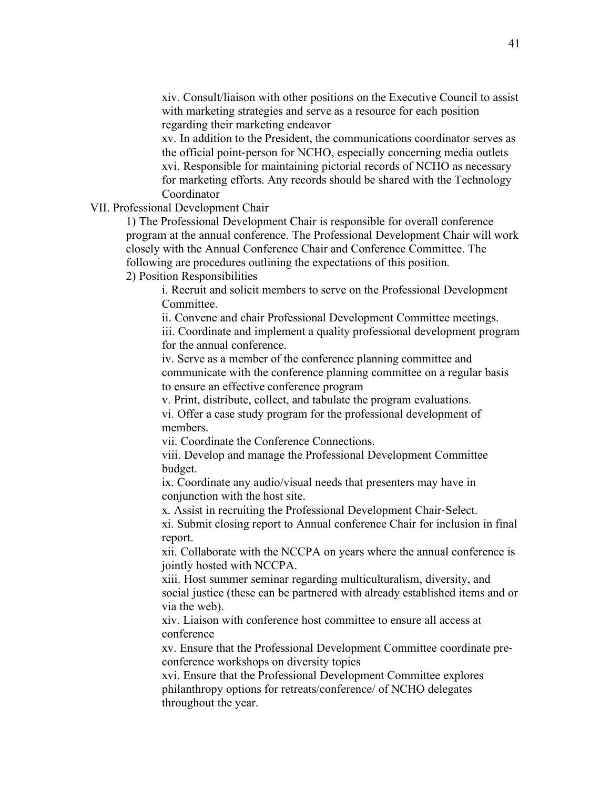xiv. Consult/liaison with other positions on the Executive Council to assist with marketing strategies and serve as a resource for each position regarding their marketing endeavor

xv. In addition to the President, the communications coordinator serves as the official point-person for NCHO, especially concerning media outlets xvi. Responsible for maintaining pictorial records of NCHO as necessary for marketing efforts. Any records should be shared with the Technology Coordinator

#### VII. Professional Development Chair

1) The Professional Development Chair is responsible for overall conference program at the annual conference. The Professional Development Chair will work closely with the Annual Conference Chair and Conference Committee. The following are procedures outlining the expectations of this position. 2) Position Responsibilities

i. Recruit and solicit members to serve on the Professional Development **Committee** 

ii. Convene and chair Professional Development Committee meetings. iii. Coordinate and implement a quality professional development program for the annual conference.

iv. Serve as a member of the conference planning committee and communicate with the conference planning committee on a regular basis to ensure an effective conference program

v. Print, distribute, collect, and tabulate the program evaluations.

vi. Offer a case study program for the professional development of members.

vii. Coordinate the Conference Connections.

viii. Develop and manage the Professional Development Committee budget.

ix. Coordinate any audio/visual needs that presenters may have in conjunction with the host site.

x. Assist in recruiting the Professional Development Chair-Select.

xi. Submit closing report to Annual conference Chair for inclusion in final report.

xii. Collaborate with the NCCPA on years where the annual conference is jointly hosted with NCCPA.

xiii. Host summer seminar regarding multiculturalism, diversity, and social justice (these can be partnered with already established items and or via the web).

xiv. Liaison with conference host committee to ensure all access at conference

xv. Ensure that the Professional Development Committee coordinate preconference workshops on diversity topics

xvi. Ensure that the Professional Development Committee explores philanthropy options for retreats/conference/ of NCHO delegates throughout the year.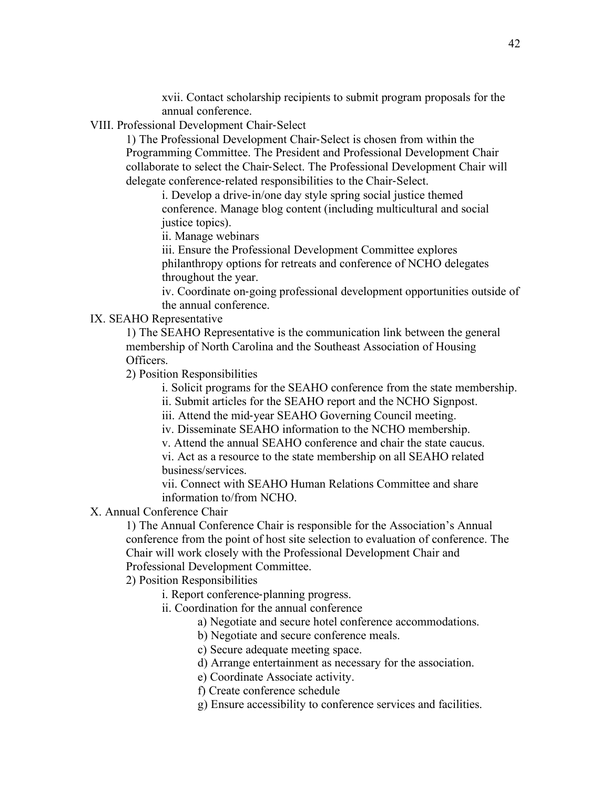xvii. Contact scholarship recipients to submit program proposals for the annual conference.

VIII. Professional Development Chair-Select

1) The Professional Development Chair-Select is chosen from within the Programming Committee. The President and Professional Development Chair collaborate to select the Chair-Select. The Professional Development Chair will delegate conference-related responsibilities to the Chair-Select.

i. Develop a drive-in/one day style spring social justice themed conference. Manage blog content (including multicultural and social justice topics).

ii. Manage webinars

iii. Ensure the Professional Development Committee explores philanthropy options for retreats and conference of NCHO delegates throughout the year.

iv. Coordinate on-going professional development opportunities outside of the annual conference.

IX. SEAHO Representative

1) The SEAHO Representative is the communication link between the general membership of North Carolina and the Southeast Association of Housing Officers.

2) Position Responsibilities

i. Solicit programs for the SEAHO conference from the state membership.

ii. Submit articles for the SEAHO report and the NCHO Signpost.

iii. Attend the mid-year SEAHO Governing Council meeting.

iv. Disseminate SEAHO information to the NCHO membership.

v. Attend the annual SEAHO conference and chair the state caucus.

vi. Act as a resource to the state membership on all SEAHO related business/services.

vii. Connect with SEAHO Human Relations Committee and share information to/from NCHO.

X. Annual Conference Chair

1) The Annual Conference Chair is responsible for the Association's Annual conference from the point of host site selection to evaluation of conference. The Chair will work closely with the Professional Development Chair and Professional Development Committee.

2) Position Responsibilities

i. Report conference-planning progress.

ii. Coordination for the annual conference

a) Negotiate and secure hotel conference accommodations.

b) Negotiate and secure conference meals.

c) Secure adequate meeting space.

d) Arrange entertainment as necessary for the association.

e) Coordinate Associate activity.

f) Create conference schedule

g) Ensure accessibility to conference services and facilities.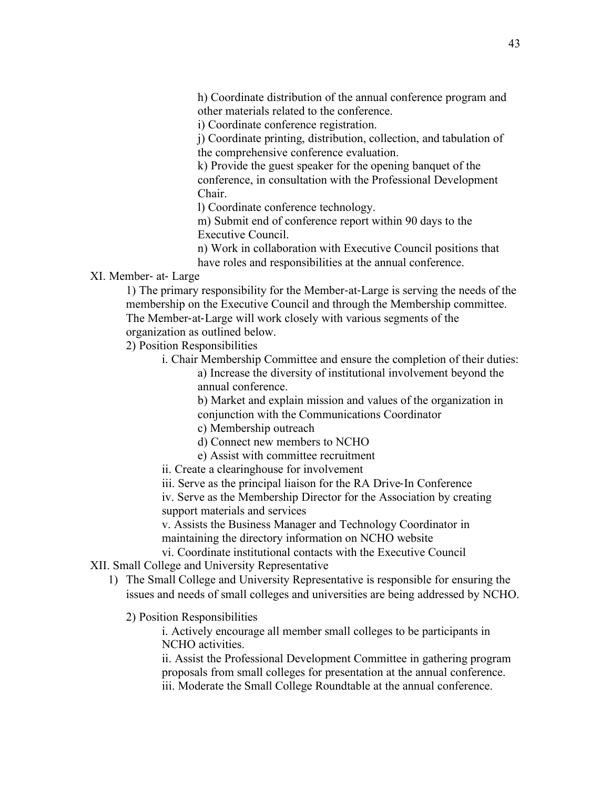h) Coordinate distribution of the annual conference program and other materials related to the conference.

i) Coordinate conference registration.

j) Coordinate printing, distribution, collection, and tabulation of the comprehensive conference evaluation.

k) Provide the guest speaker for the opening banquet of the conference, in consultation with the Professional Development Chair.

l) Coordinate conference technology.

m) Submit end of conference report within 90 days to the Executive Council.

n) Work in collaboration with Executive Council positions that have roles and responsibilities at the annual conference.

XI. Member- at- Large

1) The primary responsibility for the Member-at-Large is serving the needs of the membership on the Executive Council and through the Membership committee. The Member-at-Large will work closely with various segments of the

organization as outlined below.

2) Position Responsibilities

i. Chair Membership Committee and ensure the completion of their duties: a) Increase the diversity of institutional involvement beyond the

annual conference.

b) Market and explain mission and values of the organization in conjunction with the Communications Coordinator

- c) Membership outreach
- d) Connect new members to NCHO
- e) Assist with committee recruitment

ii. Create a clearinghouse for involvement

iii. Serve as the principal liaison for the RA Drive-In Conference iv. Serve as the Membership Director for the Association by creating

support materials and services

v. Assists the Business Manager and Technology Coordinator in maintaining the directory information on NCHO website

vi. Coordinate institutional contacts with the Executive Council

### XII. Small College and University Representative

- 1) The Small College and University Representative is responsible for ensuring the issues and needs of small colleges and universities are being addressed by NCHO.
	- 2) Position Responsibilities

i. Actively encourage all member small colleges to be participants in NCHO activities.

ii. Assist the Professional Development Committee in gathering program proposals from small colleges for presentation at the annual conference. iii. Moderate the Small College Roundtable at the annual conference.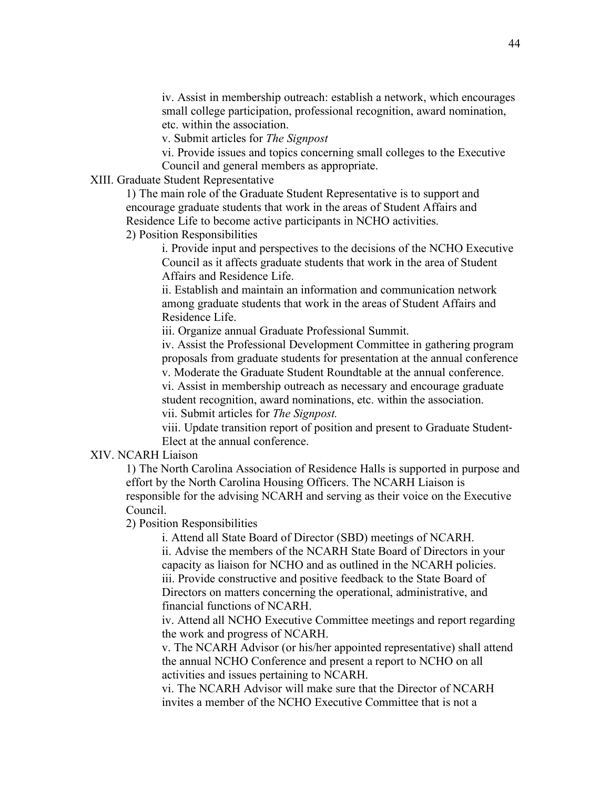iv. Assist in membership outreach: establish a network, which encourages small college participation, professional recognition, award nomination, etc. within the association.

v. Submit articles for *The Signpost*

vi. Provide issues and topics concerning small colleges to the Executive Council and general members as appropriate.

#### XIII. Graduate Student Representative

1) The main role of the Graduate Student Representative is to support and encourage graduate students that work in the areas of Student Affairs and Residence Life to become active participants in NCHO activities.

2) Position Responsibilities

i. Provide input and perspectives to the decisions of the NCHO Executive Council as it affects graduate students that work in the area of Student Affairs and Residence Life.

ii. Establish and maintain an information and communication network among graduate students that work in the areas of Student Affairs and Residence Life.

iii. Organize annual Graduate Professional Summit.

iv. Assist the Professional Development Committee in gathering program proposals from graduate students for presentation at the annual conference v. Moderate the Graduate Student Roundtable at the annual conference.

vi. Assist in membership outreach as necessary and encourage graduate student recognition, award nominations, etc. within the association. vii. Submit articles for *The Signpost.*

viii. Update transition report of position and present to Graduate Student-Elect at the annual conference.

#### XIV. NCARH Liaison

1) The North Carolina Association of Residence Halls is supported in purpose and effort by the North Carolina Housing Officers. The NCARH Liaison is responsible for the advising NCARH and serving as their voice on the Executive Council.

2) Position Responsibilities

i. Attend all State Board of Director (SBD) meetings of NCARH. ii. Advise the members of the NCARH State Board of Directors in your capacity as liaison for NCHO and as outlined in the NCARH policies. iii. Provide constructive and positive feedback to the State Board of Directors on matters concerning the operational, administrative, and financial functions of NCARH.

iv. Attend all NCHO Executive Committee meetings and report regarding the work and progress of NCARH.

v. The NCARH Advisor (or his/her appointed representative) shall attend the annual NCHO Conference and present a report to NCHO on all activities and issues pertaining to NCARH.

vi. The NCARH Advisor will make sure that the Director of NCARH invites a member of the NCHO Executive Committee that is not a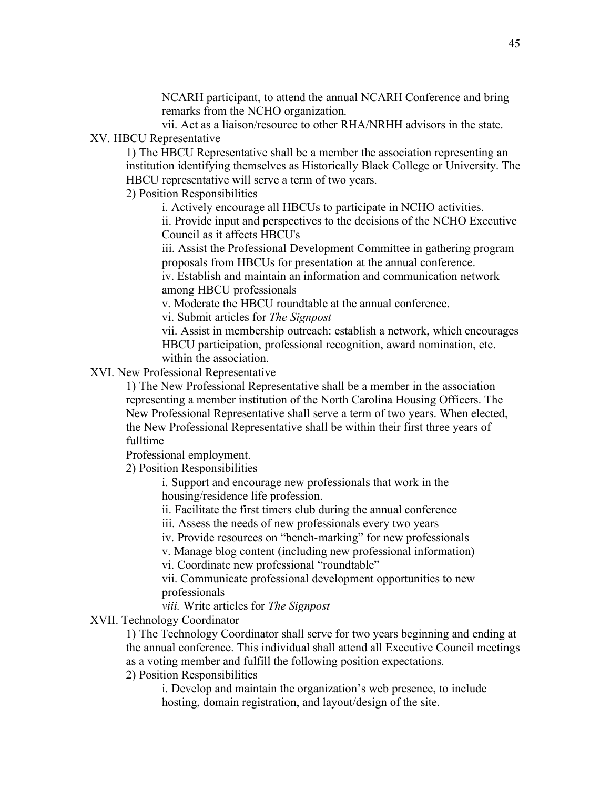NCARH participant, to attend the annual NCARH Conference and bring remarks from the NCHO organization.

vii. Act as a liaison/resource to other RHA/NRHH advisors in the state. XV. HBCU Representative

1) The HBCU Representative shall be a member the association representing an institution identifying themselves as Historically Black College or University. The HBCU representative will serve a term of two years.

2) Position Responsibilities

i. Actively encourage all HBCUs to participate in NCHO activities.

ii. Provide input and perspectives to the decisions of the NCHO Executive Council as it affects HBCU's

iii. Assist the Professional Development Committee in gathering program proposals from HBCUs for presentation at the annual conference.

iv. Establish and maintain an information and communication network among HBCU professionals

v. Moderate the HBCU roundtable at the annual conference.

vi. Submit articles for *The Signpost*

vii. Assist in membership outreach: establish a network, which encourages HBCU participation, professional recognition, award nomination, etc. within the association.

XVI. New Professional Representative

1) The New Professional Representative shall be a member in the association representing a member institution of the North Carolina Housing Officers. The New Professional Representative shall serve a term of two years. When elected, the New Professional Representative shall be within their first three years of fulltime

Professional employment.

2) Position Responsibilities

i. Support and encourage new professionals that work in the housing/residence life profession.

ii. Facilitate the first timers club during the annual conference

iii. Assess the needs of new professionals every two years

iv. Provide resources on "bench-marking" for new professionals

v. Manage blog content (including new professional information)

vi. Coordinate new professional "roundtable"

vii. Communicate professional development opportunities to new professionals

*viii.* Write articles for *The Signpost*

XVII. Technology Coordinator

1) The Technology Coordinator shall serve for two years beginning and ending at the annual conference. This individual shall attend all Executive Council meetings as a voting member and fulfill the following position expectations.

2) Position Responsibilities

i. Develop and maintain the organization's web presence, to include hosting, domain registration, and layout/design of the site.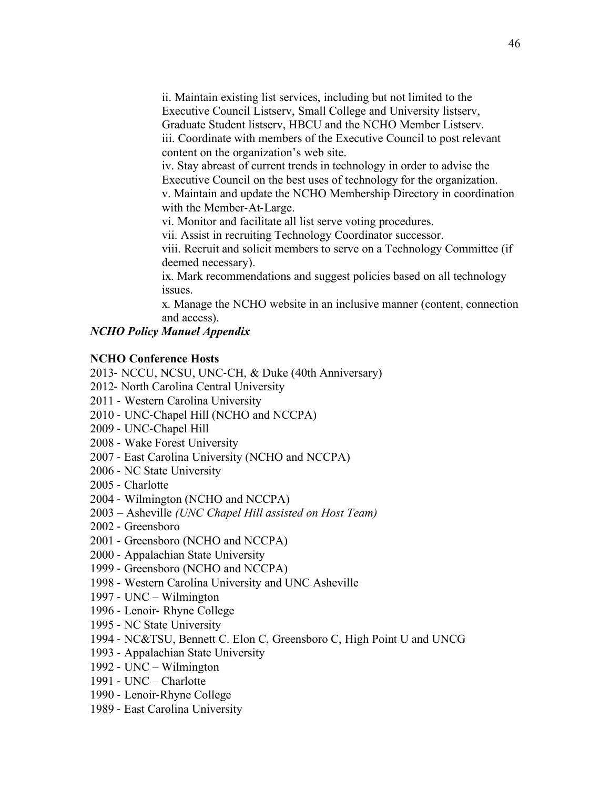ii. Maintain existing list services, including but not limited to the Executive Council Listserv, Small College and University listserv, Graduate Student listserv, HBCU and the NCHO Member Listserv. iii. Coordinate with members of the Executive Council to post relevant content on the organization's web site.

iv. Stay abreast of current trends in technology in order to advise the Executive Council on the best uses of technology for the organization. v. Maintain and update the NCHO Membership Directory in coordination with the Member-At-Large.

vi. Monitor and facilitate all list serve voting procedures.

vii. Assist in recruiting Technology Coordinator successor.

viii. Recruit and solicit members to serve on a Technology Committee (if deemed necessary).

ix. Mark recommendations and suggest policies based on all technology issues.

x. Manage the NCHO website in an inclusive manner (content, connection and access).

# *NCHO Policy Manuel Appendix*

# **NCHO Conference Hosts**

2013- NCCU, NCSU, UNC-CH, & Duke (40th Anniversary)

- 2012- North Carolina Central University
- 2011 Western Carolina University
- 2010 UNC-Chapel Hill (NCHO and NCCPA)
- 2009 UNC-Chapel Hill
- 2008 Wake Forest University
- 2007 East Carolina University (NCHO and NCCPA)
- 2006 NC State University
- 2005 Charlotte
- 2004 Wilmington (NCHO and NCCPA)
- 2003 Asheville *(UNC Chapel Hill assisted on Host Team)*
- 2002 Greensboro
- 2001 Greensboro (NCHO and NCCPA)
- 2000 Appalachian State University
- 1999 Greensboro (NCHO and NCCPA)
- 1998 Western Carolina University and UNC Asheville
- 1997 UNC Wilmington
- 1996 Lenoir- Rhyne College
- 1995 NC State University
- 1994 NC&TSU, Bennett C. Elon C, Greensboro C, High Point U and UNCG
- 1993 Appalachian State University
- 1992 UNC Wilmington
- 1991 UNC Charlotte
- 1990 Lenoir-Rhyne College
- 1989 East Carolina University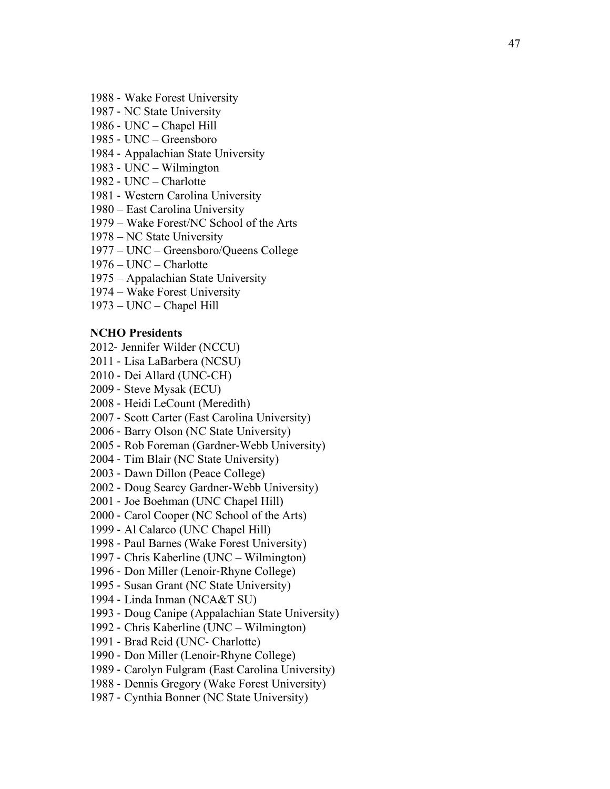- Wake Forest University
- NC State University
- UNC Chapel Hill
- UNC Greensboro
- Appalachian State University
- UNC Wilmington
- UNC Charlotte
- Western Carolina University
- East Carolina University
- Wake Forest/NC School of the Arts
- NC State University
- UNC Greensboro/Queens College
- UNC Charlotte
- Appalachian State University
- Wake Forest University
- UNC Chapel Hill

#### **NCHO Presidents**

- Jennifer Wilder (NCCU)
- Lisa LaBarbera (NCSU)
- Dei Allard (UNC -CH)
- Steve Mysak (ECU)
- Heidi LeCount (Meredith)
- Scott Carter (East Carolina University)
- Barry Olson (NC State University)
- Rob Foreman (Gardner -Webb University)
- Tim Blair (NC State University)
- Dawn Dillon (Peace College)
- Doug Searcy Gardner -Webb University)
- Joe Boehman (UNC Chapel Hill)
- Carol Cooper (NC School of the Arts)
- Al Calarco (UNC Chapel Hill)
- Paul Barnes (Wake Forest University)
- Chris Kaberline (UNC Wilmington)
- Don Miller (Lenoir -Rhyne College)
- Susan Grant (NC State University)
- Linda Inman (NCA&T SU)
- Doug Canipe (Appalachian State University)
- Chris Kaberline (UNC Wilmington)
- Brad Reid (UNC Charlotte)
- Don Miller (Lenoir -Rhyne College)
- Carolyn Fulgram (East Carolina University)
- Dennis Gregory (Wake Forest University)
- Cynthia Bonner (NC State University)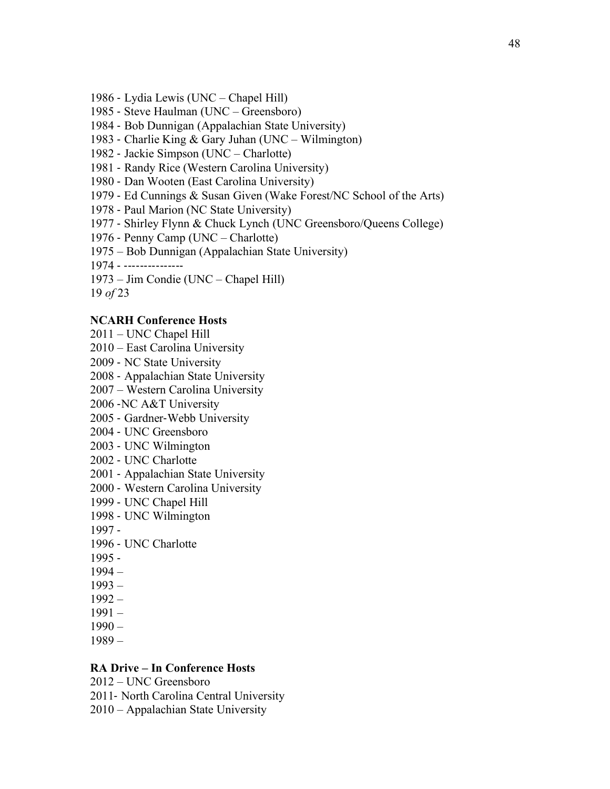- Lydia Lewis (UNC Chapel Hill)
- Steve Haulman (UNC Greensboro)
- Bob Dunnigan (Appalachian State University)
- Charlie King & Gary Juhan (UNC Wilmington)
- Jackie Simpson (UNC Charlotte)
- Randy Rice (Western Carolina University)
- Dan Wooten (East Carolina University)
- Ed Cunnings & Susan Given (Wake Forest/NC School of the Arts)
- Paul Marion (NC State University)
- Shirley Flynn & Chuck Lynch (UNC Greensboro/Queens College)
- Penny Camp (UNC Charlotte)
- 1975 Bob Dunnigan (Appalachian State University)
- ---------------
- 1973 Jim Condie (UNC Chapel Hill)
- *of* 23

#### **NCARH Conference Hosts**

- 2011 UNC Chapel Hill
- 2010 East Carolina University
- NC State University
- Appalachian State University
- 2007 Western Carolina University
- -NC A&T University
- Gardner-Webb University
- UNC Greensboro
- UNC Wilmington
- UNC Charlotte
- Appalachian State University
- Western Carolina University
- UNC Chapel Hill
- UNC Wilmington
- -
- UNC Charlotte
- -
- 1994 –
- 1993 –
- 1992 –
- 1991 –
- 1990 –
- 1989 –

### **RA Drive – In Conference Hosts**

- 2012 UNC Greensboro
- North Carolina Central University
- 2010 Appalachian State University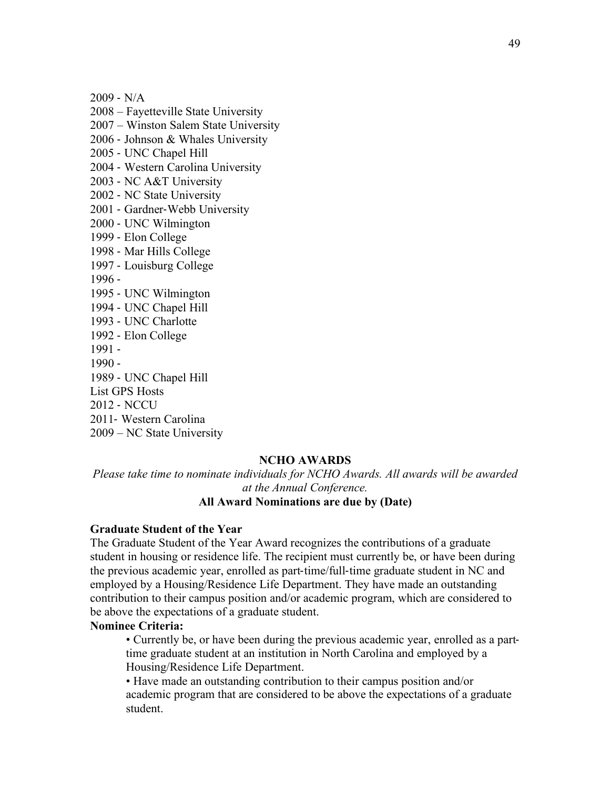$2009 - N/A$ 

2008 – Fayetteville State University

2007 – Winston Salem State University

2006 - Johnson & Whales University

2005 - UNC Chapel Hill

2004 - Western Carolina University

2003 - NC A&T University

- 2002 NC State University
- 2001 Gardner-Webb University
- 2000 UNC Wilmington
- 1999 Elon College
- 1998 Mar Hills College
- 1997 Louisburg College

1996 -

- 1995 UNC Wilmington
- 1994 UNC Chapel Hill
- 1993 UNC Charlotte
- 1992 Elon College
- 1991 -
- 1990 -

1989 - UNC Chapel Hill

- List GPS Hosts
- 2012 NCCU

2011- Western Carolina

2009 – NC State University

#### **NCHO AWARDS**

*Please take time to nominate individuals for NCHO Awards. All awards will be awarded at the Annual Conference.*

# **All Award Nominations are due by (Date)**

#### **Graduate Student of the Year**

The Graduate Student of the Year Award recognizes the contributions of a graduate student in housing or residence life. The recipient must currently be, or have been during the previous academic year, enrolled as part-time/full-time graduate student in NC and employed by a Housing/Residence Life Department. They have made an outstanding contribution to their campus position and/or academic program, which are considered to be above the expectations of a graduate student.

#### **Nominee Criteria:**

• Currently be, or have been during the previous academic year, enrolled as a parttime graduate student at an institution in North Carolina and employed by a Housing/Residence Life Department.

• Have made an outstanding contribution to their campus position and/or academic program that are considered to be above the expectations of a graduate student.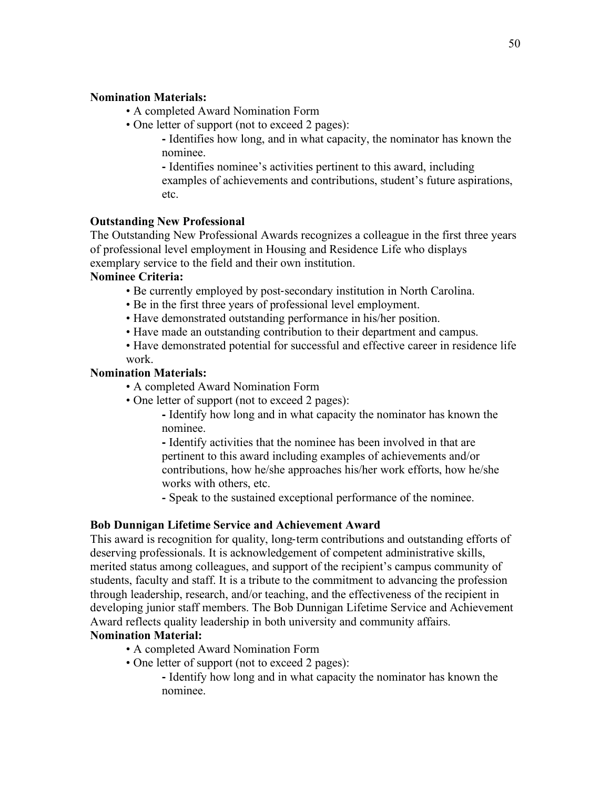# **Nomination Materials:**

- A completed Award Nomination Form
- One letter of support (not to exceed 2 pages):
	- Identifies how long, and in what capacity, the nominator has known the nominee.

- Identifies nominee's activities pertinent to this award, including examples of achievements and contributions, student's future aspirations, etc.

# **Outstanding New Professional**

The Outstanding New Professional Awards recognizes a colleague in the first three years of professional level employment in Housing and Residence Life who displays exemplary service to the field and their own institution.

# **Nominee Criteria:**

- Be currently employed by post-secondary institution in North Carolina.
- Be in the first three years of professional level employment.
- Have demonstrated outstanding performance in his/her position.
- Have made an outstanding contribution to their department and campus.
- Have demonstrated potential for successful and effective career in residence life work.

# **Nomination Materials:**

- A completed Award Nomination Form
- One letter of support (not to exceed 2 pages):

- Identify how long and in what capacity the nominator has known the nominee.

- Identify activities that the nominee has been involved in that are pertinent to this award including examples of achievements and/or contributions, how he/she approaches his/her work efforts, how he/she works with others, etc.

- Speak to the sustained exceptional performance of the nominee.

# **Bob Dunnigan Lifetime Service and Achievement Award**

This award is recognition for quality, long-term contributions and outstanding efforts of deserving professionals. It is acknowledgement of competent administrative skills, merited status among colleagues, and support of the recipient's campus community of students, faculty and staff. It is a tribute to the commitment to advancing the profession through leadership, research, and/or teaching, and the effectiveness of the recipient in developing junior staff members. The Bob Dunnigan Lifetime Service and Achievement Award reflects quality leadership in both university and community affairs.

# **Nomination Material:**

- A completed Award Nomination Form
- One letter of support (not to exceed 2 pages):

- Identify how long and in what capacity the nominator has known the nominee.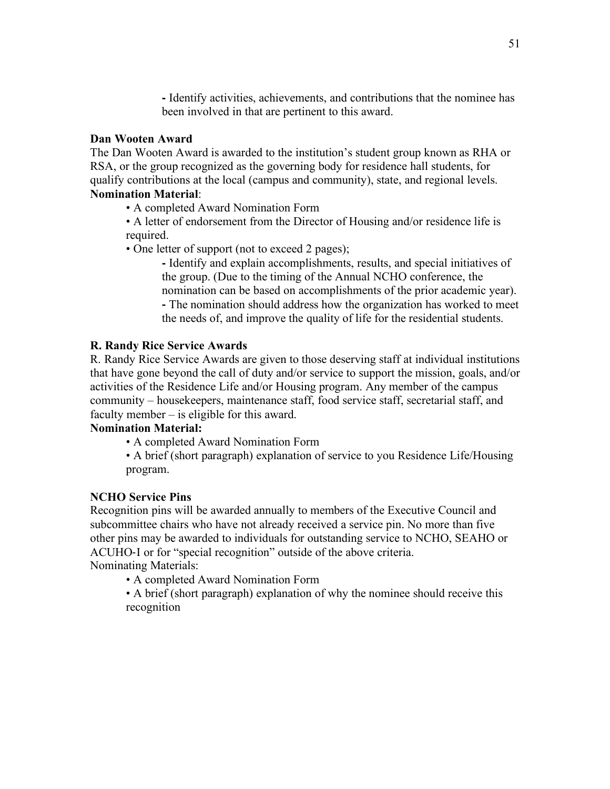- Identify activities, achievements, and contributions that the nominee has been involved in that are pertinent to this award.

### **Dan Wooten Award**

The Dan Wooten Award is awarded to the institution's student group known as RHA or RSA, or the group recognized as the governing body for residence hall students, for qualify contributions at the local (campus and community), state, and regional levels. **Nomination Material**:

• A completed Award Nomination Form

• A letter of endorsement from the Director of Housing and/or residence life is required.

• One letter of support (not to exceed 2 pages);

- Identify and explain accomplishments, results, and special initiatives of the group. (Due to the timing of the Annual NCHO conference, the nomination can be based on accomplishments of the prior academic year).

- The nomination should address how the organization has worked to meet the needs of, and improve the quality of life for the residential students.

# **R. Randy Rice Service Awards**

R. Randy Rice Service Awards are given to those deserving staff at individual institutions that have gone beyond the call of duty and/or service to support the mission, goals, and/or activities of the Residence Life and/or Housing program. Any member of the campus community – housekeepers, maintenance staff, food service staff, secretarial staff, and faculty member – is eligible for this award.

# **Nomination Material:**

• A completed Award Nomination Form

• A brief (short paragraph) explanation of service to you Residence Life/Housing program.

#### **NCHO Service Pins**

Recognition pins will be awarded annually to members of the Executive Council and subcommittee chairs who have not already received a service pin. No more than five other pins may be awarded to individuals for outstanding service to NCHO, SEAHO or ACUHO-I or for "special recognition" outside of the above criteria. Nominating Materials:

• A completed Award Nomination Form

• A brief (short paragraph) explanation of why the nominee should receive this recognition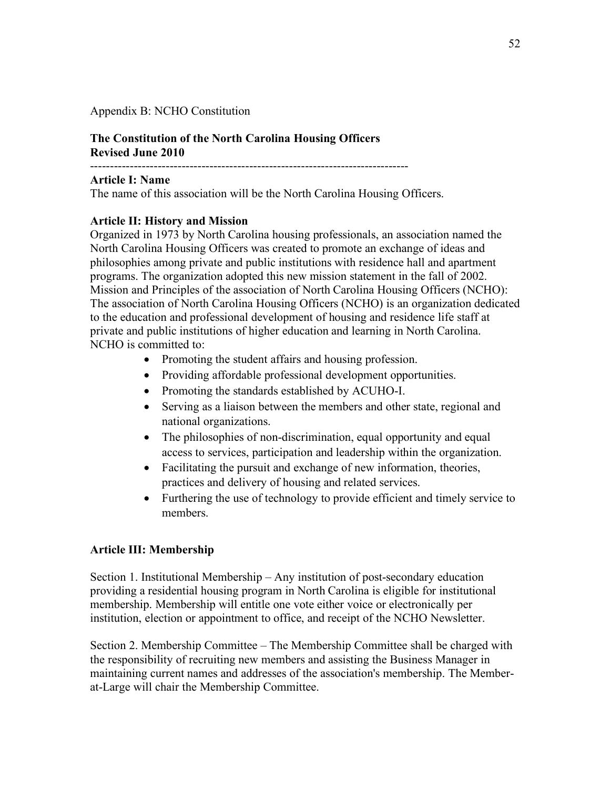Appendix B: NCHO Constitution

# **The Constitution of the North Carolina Housing Officers Revised June 2010**

--------------------------------------------------------------------------------

# **Article I: Name**

The name of this association will be the North Carolina Housing Officers.

# **Article II: History and Mission**

Organized in 1973 by North Carolina housing professionals, an association named the North Carolina Housing Officers was created to promote an exchange of ideas and philosophies among private and public institutions with residence hall and apartment programs. The organization adopted this new mission statement in the fall of 2002. Mission and Principles of the association of North Carolina Housing Officers (NCHO): The association of North Carolina Housing Officers (NCHO) is an organization dedicated to the education and professional development of housing and residence life staff at private and public institutions of higher education and learning in North Carolina. NCHO is committed to:

- Promoting the student affairs and housing profession.
- Providing affordable professional development opportunities.
- Promoting the standards established by ACUHO-I.
- Serving as a liaison between the members and other state, regional and national organizations.
- The philosophies of non-discrimination, equal opportunity and equal access to services, participation and leadership within the organization.
- Facilitating the pursuit and exchange of new information, theories, practices and delivery of housing and related services.
- Furthering the use of technology to provide efficient and timely service to members.

### **Article III: Membership**

Section 1. Institutional Membership – Any institution of post-secondary education providing a residential housing program in North Carolina is eligible for institutional membership. Membership will entitle one vote either voice or electronically per institution, election or appointment to office, and receipt of the NCHO Newsletter.

Section 2. Membership Committee – The Membership Committee shall be charged with the responsibility of recruiting new members and assisting the Business Manager in maintaining current names and addresses of the association's membership. The Memberat-Large will chair the Membership Committee.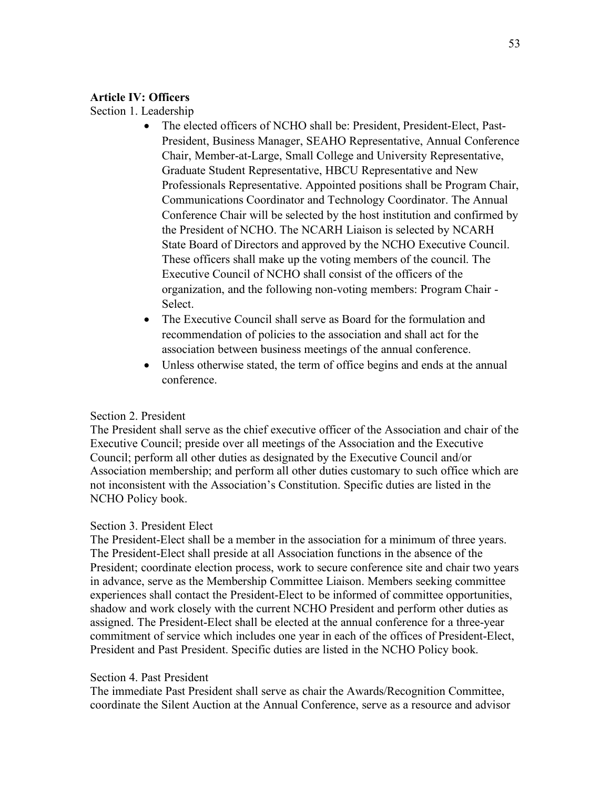#### **Article IV: Officers**

Section 1. Leadership

- The elected officers of NCHO shall be: President, President-Elect, Past-President, Business Manager, SEAHO Representative, Annual Conference Chair, Member-at-Large, Small College and University Representative, Graduate Student Representative, HBCU Representative and New Professionals Representative. Appointed positions shall be Program Chair, Communications Coordinator and Technology Coordinator. The Annual Conference Chair will be selected by the host institution and confirmed by the President of NCHO. The NCARH Liaison is selected by NCARH State Board of Directors and approved by the NCHO Executive Council. These officers shall make up the voting members of the council. The Executive Council of NCHO shall consist of the officers of the organization, and the following non-voting members: Program Chair - Select.
- The Executive Council shall serve as Board for the formulation and recommendation of policies to the association and shall act for the association between business meetings of the annual conference.
- Unless otherwise stated, the term of office begins and ends at the annual conference.

# Section 2. President

The President shall serve as the chief executive officer of the Association and chair of the Executive Council; preside over all meetings of the Association and the Executive Council; perform all other duties as designated by the Executive Council and/or Association membership; and perform all other duties customary to such office which are not inconsistent with the Association's Constitution. Specific duties are listed in the NCHO Policy book.

### Section 3. President Elect

The President-Elect shall be a member in the association for a minimum of three years. The President-Elect shall preside at all Association functions in the absence of the President; coordinate election process, work to secure conference site and chair two years in advance, serve as the Membership Committee Liaison. Members seeking committee experiences shall contact the President-Elect to be informed of committee opportunities, shadow and work closely with the current NCHO President and perform other duties as assigned. The President-Elect shall be elected at the annual conference for a three-year commitment of service which includes one year in each of the offices of President-Elect, President and Past President. Specific duties are listed in the NCHO Policy book.

### Section 4. Past President

The immediate Past President shall serve as chair the Awards/Recognition Committee, coordinate the Silent Auction at the Annual Conference, serve as a resource and advisor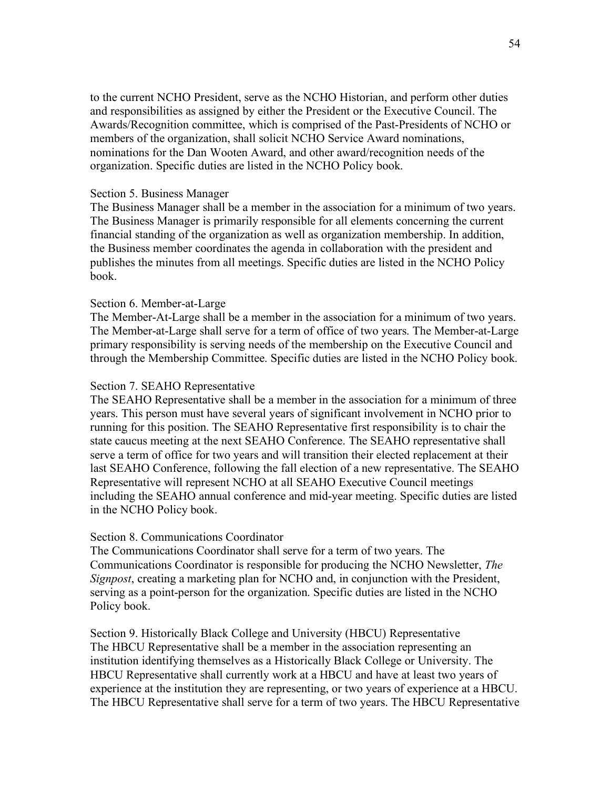to the current NCHO President, serve as the NCHO Historian, and perform other duties and responsibilities as assigned by either the President or the Executive Council. The Awards/Recognition committee, which is comprised of the Past-Presidents of NCHO or members of the organization, shall solicit NCHO Service Award nominations, nominations for the Dan Wooten Award, and other award/recognition needs of the organization. Specific duties are listed in the NCHO Policy book.

#### Section 5. Business Manager

The Business Manager shall be a member in the association for a minimum of two years. The Business Manager is primarily responsible for all elements concerning the current financial standing of the organization as well as organization membership. In addition, the Business member coordinates the agenda in collaboration with the president and publishes the minutes from all meetings. Specific duties are listed in the NCHO Policy book.

#### Section 6. Member-at-Large

The Member-At-Large shall be a member in the association for a minimum of two years. The Member-at-Large shall serve for a term of office of two years. The Member-at-Large primary responsibility is serving needs of the membership on the Executive Council and through the Membership Committee. Specific duties are listed in the NCHO Policy book.

#### Section 7. SEAHO Representative

The SEAHO Representative shall be a member in the association for a minimum of three years. This person must have several years of significant involvement in NCHO prior to running for this position. The SEAHO Representative first responsibility is to chair the state caucus meeting at the next SEAHO Conference. The SEAHO representative shall serve a term of office for two years and will transition their elected replacement at their last SEAHO Conference, following the fall election of a new representative. The SEAHO Representative will represent NCHO at all SEAHO Executive Council meetings including the SEAHO annual conference and mid-year meeting. Specific duties are listed in the NCHO Policy book.

#### Section 8. Communications Coordinator

The Communications Coordinator shall serve for a term of two years. The Communications Coordinator is responsible for producing the NCHO Newsletter, *The Signpost*, creating a marketing plan for NCHO and, in conjunction with the President, serving as a point-person for the organization. Specific duties are listed in the NCHO Policy book.

Section 9. Historically Black College and University (HBCU) Representative The HBCU Representative shall be a member in the association representing an institution identifying themselves as a Historically Black College or University. The HBCU Representative shall currently work at a HBCU and have at least two years of experience at the institution they are representing, or two years of experience at a HBCU. The HBCU Representative shall serve for a term of two years. The HBCU Representative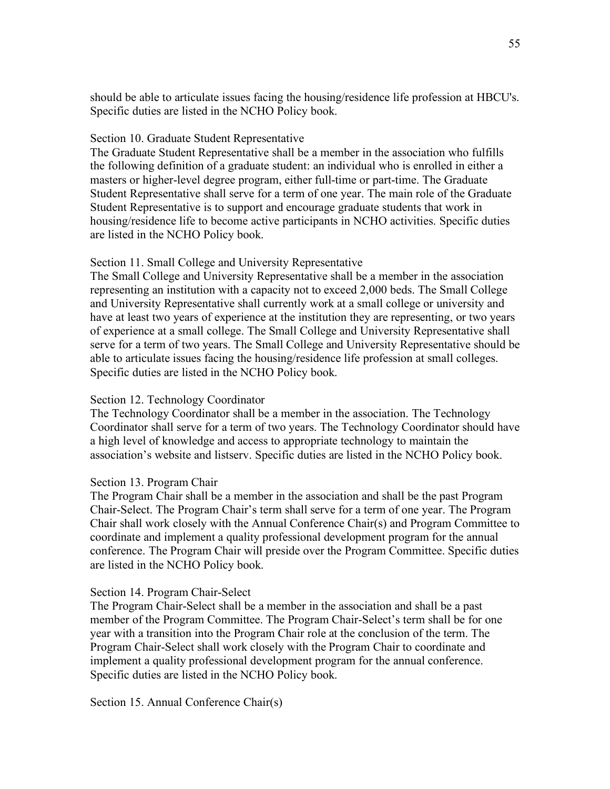should be able to articulate issues facing the housing/residence life profession at HBCU's. Specific duties are listed in the NCHO Policy book.

#### Section 10. Graduate Student Representative

The Graduate Student Representative shall be a member in the association who fulfills the following definition of a graduate student: an individual who is enrolled in either a masters or higher-level degree program, either full-time or part-time. The Graduate Student Representative shall serve for a term of one year. The main role of the Graduate Student Representative is to support and encourage graduate students that work in housing/residence life to become active participants in NCHO activities. Specific duties are listed in the NCHO Policy book.

#### Section 11. Small College and University Representative

The Small College and University Representative shall be a member in the association representing an institution with a capacity not to exceed 2,000 beds. The Small College and University Representative shall currently work at a small college or university and have at least two years of experience at the institution they are representing, or two years of experience at a small college. The Small College and University Representative shall serve for a term of two years. The Small College and University Representative should be able to articulate issues facing the housing/residence life profession at small colleges. Specific duties are listed in the NCHO Policy book.

#### Section 12. Technology Coordinator

The Technology Coordinator shall be a member in the association. The Technology Coordinator shall serve for a term of two years. The Technology Coordinator should have a high level of knowledge and access to appropriate technology to maintain the association's website and listserv. Specific duties are listed in the NCHO Policy book.

#### Section 13. Program Chair

The Program Chair shall be a member in the association and shall be the past Program Chair-Select. The Program Chair's term shall serve for a term of one year. The Program Chair shall work closely with the Annual Conference Chair(s) and Program Committee to coordinate and implement a quality professional development program for the annual conference. The Program Chair will preside over the Program Committee. Specific duties are listed in the NCHO Policy book.

#### Section 14. Program Chair-Select

The Program Chair-Select shall be a member in the association and shall be a past member of the Program Committee. The Program Chair-Select's term shall be for one year with a transition into the Program Chair role at the conclusion of the term. The Program Chair-Select shall work closely with the Program Chair to coordinate and implement a quality professional development program for the annual conference. Specific duties are listed in the NCHO Policy book.

Section 15. Annual Conference Chair(s)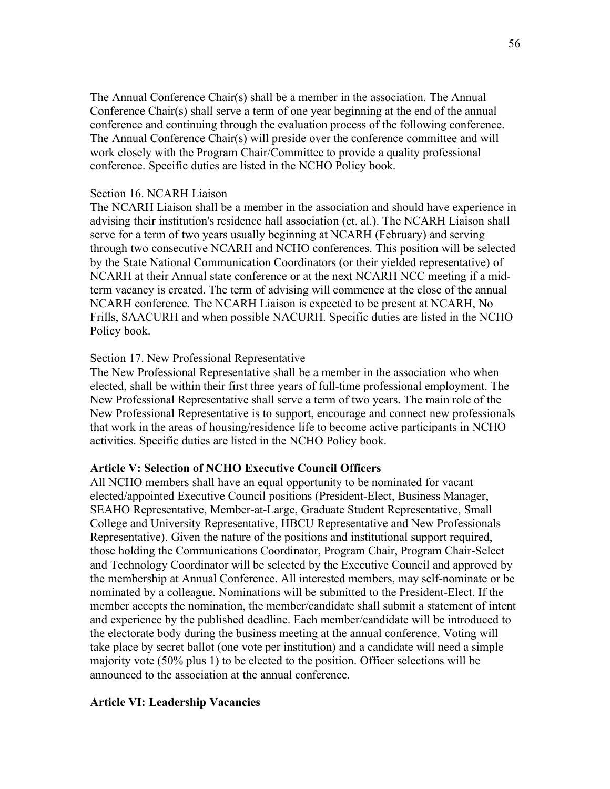The Annual Conference Chair(s) shall be a member in the association. The Annual Conference Chair(s) shall serve a term of one year beginning at the end of the annual conference and continuing through the evaluation process of the following conference. The Annual Conference Chair(s) will preside over the conference committee and will work closely with the Program Chair/Committee to provide a quality professional conference. Specific duties are listed in the NCHO Policy book.

#### Section 16. NCARH Liaison

The NCARH Liaison shall be a member in the association and should have experience in advising their institution's residence hall association (et. al.). The NCARH Liaison shall serve for a term of two years usually beginning at NCARH (February) and serving through two consecutive NCARH and NCHO conferences. This position will be selected by the State National Communication Coordinators (or their yielded representative) of NCARH at their Annual state conference or at the next NCARH NCC meeting if a midterm vacancy is created. The term of advising will commence at the close of the annual NCARH conference. The NCARH Liaison is expected to be present at NCARH, No Frills, SAACURH and when possible NACURH. Specific duties are listed in the NCHO Policy book.

#### Section 17. New Professional Representative

The New Professional Representative shall be a member in the association who when elected, shall be within their first three years of full-time professional employment. The New Professional Representative shall serve a term of two years. The main role of the New Professional Representative is to support, encourage and connect new professionals that work in the areas of housing/residence life to become active participants in NCHO activities. Specific duties are listed in the NCHO Policy book.

#### **Article V: Selection of NCHO Executive Council Officers**

All NCHO members shall have an equal opportunity to be nominated for vacant elected/appointed Executive Council positions (President-Elect, Business Manager, SEAHO Representative, Member-at-Large, Graduate Student Representative, Small College and University Representative, HBCU Representative and New Professionals Representative). Given the nature of the positions and institutional support required, those holding the Communications Coordinator, Program Chair, Program Chair-Select and Technology Coordinator will be selected by the Executive Council and approved by the membership at Annual Conference. All interested members, may self-nominate or be nominated by a colleague. Nominations will be submitted to the President-Elect. If the member accepts the nomination, the member/candidate shall submit a statement of intent and experience by the published deadline. Each member/candidate will be introduced to the electorate body during the business meeting at the annual conference. Voting will take place by secret ballot (one vote per institution) and a candidate will need a simple majority vote (50% plus 1) to be elected to the position. Officer selections will be announced to the association at the annual conference.

#### **Article VI: Leadership Vacancies**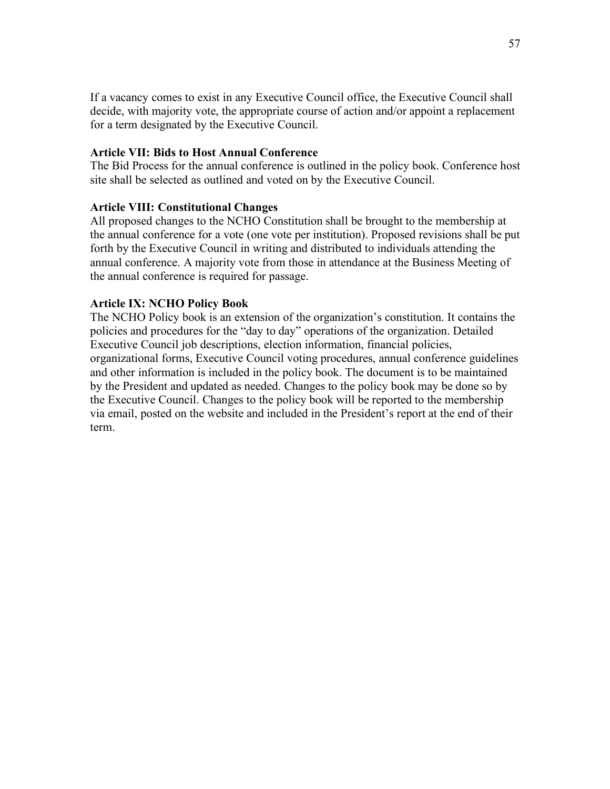If a vacancy comes to exist in any Executive Council office, the Executive Council shall decide, with majority vote, the appropriate course of action and/or appoint a replacement for a term designated by the Executive Council.

#### **Article VII: Bids to Host Annual Conference**

The Bid Process for the annual conference is outlined in the policy book. Conference host site shall be selected as outlined and voted on by the Executive Council.

#### **Article VIII: Constitutional Changes**

All proposed changes to the NCHO Constitution shall be brought to the membership at the annual conference for a vote (one vote per institution). Proposed revisions shall be put forth by the Executive Council in writing and distributed to individuals attending the annual conference. A majority vote from those in attendance at the Business Meeting of the annual conference is required for passage.

#### **Article IX: NCHO Policy Book**

The NCHO Policy book is an extension of the organization's constitution. It contains the policies and procedures for the "day to day" operations of the organization. Detailed Executive Council job descriptions, election information, financial policies, organizational forms, Executive Council voting procedures, annual conference guidelines and other information is included in the policy book. The document is to be maintained by the President and updated as needed. Changes to the policy book may be done so by the Executive Council. Changes to the policy book will be reported to the membership via email, posted on the website and included in the President's report at the end of their term.